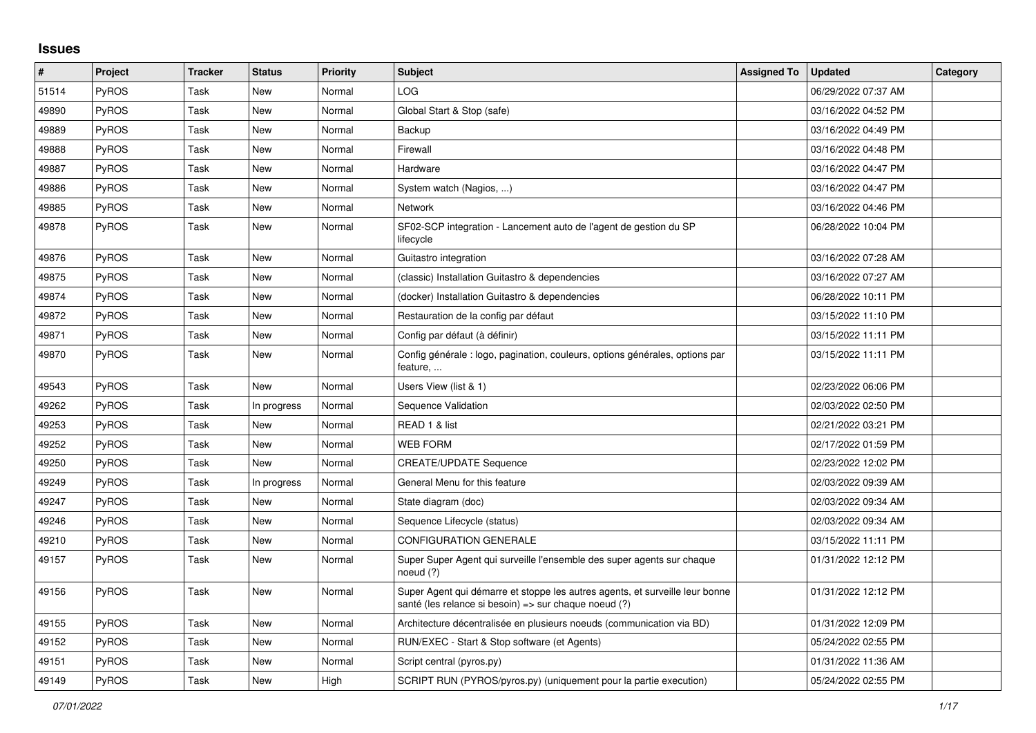## **Issues**

| ∦     | <b>Project</b> | <b>Tracker</b> | <b>Status</b> | Priority | <b>Subject</b>                                                                                                                        | <b>Assigned To</b> | <b>Updated</b>      | Category |
|-------|----------------|----------------|---------------|----------|---------------------------------------------------------------------------------------------------------------------------------------|--------------------|---------------------|----------|
| 51514 | PyROS          | Task           | <b>New</b>    | Normal   | <b>LOG</b>                                                                                                                            |                    | 06/29/2022 07:37 AM |          |
| 49890 | PyROS          | Task           | <b>New</b>    | Normal   | Global Start & Stop (safe)                                                                                                            |                    | 03/16/2022 04:52 PM |          |
| 49889 | <b>PyROS</b>   | Task           | <b>New</b>    | Normal   | Backup                                                                                                                                |                    | 03/16/2022 04:49 PM |          |
| 49888 | <b>PyROS</b>   | Task           | <b>New</b>    | Normal   | Firewall                                                                                                                              |                    | 03/16/2022 04:48 PM |          |
| 49887 | PyROS          | Task           | <b>New</b>    | Normal   | Hardware                                                                                                                              |                    | 03/16/2022 04:47 PM |          |
| 49886 | PyROS          | Task           | <b>New</b>    | Normal   | System watch (Nagios, )                                                                                                               |                    | 03/16/2022 04:47 PM |          |
| 49885 | PyROS          | Task           | <b>New</b>    | Normal   | <b>Network</b>                                                                                                                        |                    | 03/16/2022 04:46 PM |          |
| 49878 | <b>PyROS</b>   | Task           | <b>New</b>    | Normal   | SF02-SCP integration - Lancement auto de l'agent de gestion du SP<br>lifecycle                                                        |                    | 06/28/2022 10:04 PM |          |
| 49876 | <b>PyROS</b>   | Task           | <b>New</b>    | Normal   | Guitastro integration                                                                                                                 |                    | 03/16/2022 07:28 AM |          |
| 49875 | PyROS          | Task           | <b>New</b>    | Normal   | (classic) Installation Guitastro & dependencies                                                                                       |                    | 03/16/2022 07:27 AM |          |
| 49874 | PyROS          | Task           | <b>New</b>    | Normal   | (docker) Installation Guitastro & dependencies                                                                                        |                    | 06/28/2022 10:11 PM |          |
| 49872 | PyROS          | Task           | <b>New</b>    | Normal   | Restauration de la config par défaut                                                                                                  |                    | 03/15/2022 11:10 PM |          |
| 49871 | PyROS          | Task           | <b>New</b>    | Normal   | Config par défaut (à définir)                                                                                                         |                    | 03/15/2022 11:11 PM |          |
| 49870 | <b>PyROS</b>   | Task           | <b>New</b>    | Normal   | Config générale : logo, pagination, couleurs, options générales, options par<br>feature,                                              |                    | 03/15/2022 11:11 PM |          |
| 49543 | PyROS          | Task           | <b>New</b>    | Normal   | Users View (list & 1)                                                                                                                 |                    | 02/23/2022 06:06 PM |          |
| 49262 | PyROS          | Task           | In progress   | Normal   | Sequence Validation                                                                                                                   |                    | 02/03/2022 02:50 PM |          |
| 49253 | PyROS          | Task           | <b>New</b>    | Normal   | READ 1 & list                                                                                                                         |                    | 02/21/2022 03:21 PM |          |
| 49252 | PyROS          | Task           | <b>New</b>    | Normal   | <b>WEB FORM</b>                                                                                                                       |                    | 02/17/2022 01:59 PM |          |
| 49250 | PyROS          | Task           | <b>New</b>    | Normal   | <b>CREATE/UPDATE Sequence</b>                                                                                                         |                    | 02/23/2022 12:02 PM |          |
| 49249 | <b>PyROS</b>   | Task           | In progress   | Normal   | General Menu for this feature                                                                                                         |                    | 02/03/2022 09:39 AM |          |
| 49247 | PyROS          | Task           | <b>New</b>    | Normal   | State diagram (doc)                                                                                                                   |                    | 02/03/2022 09:34 AM |          |
| 49246 | <b>PyROS</b>   | Task           | <b>New</b>    | Normal   | Sequence Lifecycle (status)                                                                                                           |                    | 02/03/2022 09:34 AM |          |
| 49210 | <b>PyROS</b>   | Task           | <b>New</b>    | Normal   | <b>CONFIGURATION GENERALE</b>                                                                                                         |                    | 03/15/2022 11:11 PM |          |
| 49157 | <b>PyROS</b>   | Task           | New           | Normal   | Super Super Agent qui surveille l'ensemble des super agents sur chaque<br>noeud $(?)$                                                 |                    | 01/31/2022 12:12 PM |          |
| 49156 | <b>PyROS</b>   | Task           | New           | Normal   | Super Agent qui démarre et stoppe les autres agents, et surveille leur bonne<br>santé (les relance si besoin) => sur chaque noeud (?) |                    | 01/31/2022 12:12 PM |          |
| 49155 | <b>PyROS</b>   | Task           | New           | Normal   | Architecture décentralisée en plusieurs noeuds (communication via BD)                                                                 |                    | 01/31/2022 12:09 PM |          |
| 49152 | PyROS          | Task           | <b>New</b>    | Normal   | RUN/EXEC - Start & Stop software (et Agents)                                                                                          |                    | 05/24/2022 02:55 PM |          |
| 49151 | PyROS          | Task           | <b>New</b>    | Normal   | Script central (pyros.py)                                                                                                             |                    | 01/31/2022 11:36 AM |          |
| 49149 | PyROS          | Task           | <b>New</b>    | High     | SCRIPT RUN (PYROS/pyros.py) (uniquement pour la partie execution)                                                                     |                    | 05/24/2022 02:55 PM |          |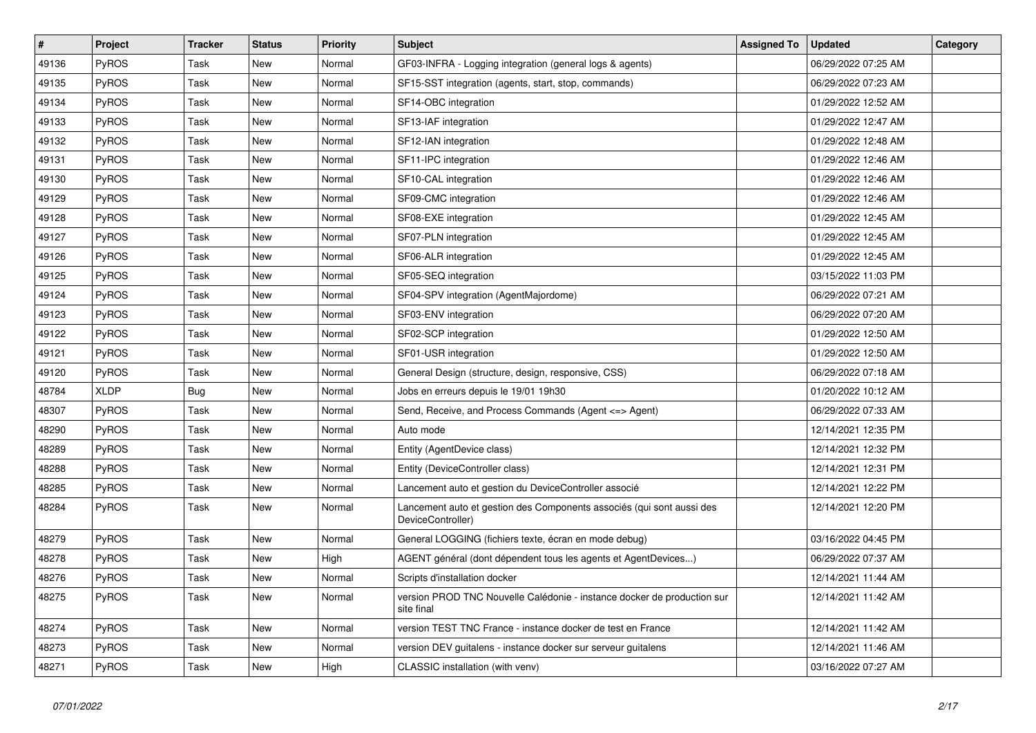| $\vert$ # | Project      | <b>Tracker</b> | <b>Status</b> | <b>Priority</b> | <b>Subject</b>                                                                             | <b>Assigned To</b> | <b>Updated</b>      | Category |
|-----------|--------------|----------------|---------------|-----------------|--------------------------------------------------------------------------------------------|--------------------|---------------------|----------|
| 49136     | PyROS        | Task           | New           | Normal          | GF03-INFRA - Logging integration (general logs & agents)                                   |                    | 06/29/2022 07:25 AM |          |
| 49135     | PyROS        | Task           | <b>New</b>    | Normal          | SF15-SST integration (agents, start, stop, commands)                                       |                    | 06/29/2022 07:23 AM |          |
| 49134     | <b>PyROS</b> | Task           | New           | Normal          | SF14-OBC integration                                                                       |                    | 01/29/2022 12:52 AM |          |
| 49133     | <b>PyROS</b> | Task           | New           | Normal          | SF13-IAF integration                                                                       |                    | 01/29/2022 12:47 AM |          |
| 49132     | <b>PyROS</b> | Task           | New           | Normal          | SF12-IAN integration                                                                       |                    | 01/29/2022 12:48 AM |          |
| 49131     | <b>PyROS</b> | Task           | New           | Normal          | SF11-IPC integration                                                                       |                    | 01/29/2022 12:46 AM |          |
| 49130     | <b>PyROS</b> | Task           | New           | Normal          | SF10-CAL integration                                                                       |                    | 01/29/2022 12:46 AM |          |
| 49129     | PyROS        | Task           | New           | Normal          | SF09-CMC integration                                                                       |                    | 01/29/2022 12:46 AM |          |
| 49128     | PyROS        | Task           | New           | Normal          | SF08-EXE integration                                                                       |                    | 01/29/2022 12:45 AM |          |
| 49127     | PyROS        | Task           | New           | Normal          | SF07-PLN integration                                                                       |                    | 01/29/2022 12:45 AM |          |
| 49126     | PyROS        | Task           | <b>New</b>    | Normal          | SF06-ALR integration                                                                       |                    | 01/29/2022 12:45 AM |          |
| 49125     | <b>PyROS</b> | Task           | <b>New</b>    | Normal          | SF05-SEQ integration                                                                       |                    | 03/15/2022 11:03 PM |          |
| 49124     | PyROS        | Task           | New           | Normal          | SF04-SPV integration (AgentMajordome)                                                      |                    | 06/29/2022 07:21 AM |          |
| 49123     | PyROS        | Task           | <b>New</b>    | Normal          | SF03-ENV integration                                                                       |                    | 06/29/2022 07:20 AM |          |
| 49122     | PyROS        | Task           | <b>New</b>    | Normal          | SF02-SCP integration                                                                       |                    | 01/29/2022 12:50 AM |          |
| 49121     | <b>PyROS</b> | Task           | New           | Normal          | SF01-USR integration                                                                       |                    | 01/29/2022 12:50 AM |          |
| 49120     | PyROS        | Task           | New           | Normal          | General Design (structure, design, responsive, CSS)                                        |                    | 06/29/2022 07:18 AM |          |
| 48784     | <b>XLDP</b>  | <b>Bug</b>     | <b>New</b>    | Normal          | Jobs en erreurs depuis le 19/01 19h30                                                      |                    | 01/20/2022 10:12 AM |          |
| 48307     | PyROS        | Task           | <b>New</b>    | Normal          | Send, Receive, and Process Commands (Agent <= > Agent)                                     |                    | 06/29/2022 07:33 AM |          |
| 48290     | PyROS        | Task           | New           | Normal          | Auto mode                                                                                  |                    | 12/14/2021 12:35 PM |          |
| 48289     | PyROS        | Task           | <b>New</b>    | Normal          | Entity (AgentDevice class)                                                                 |                    | 12/14/2021 12:32 PM |          |
| 48288     | PyROS        | Task           | <b>New</b>    | Normal          | Entity (DeviceController class)                                                            |                    | 12/14/2021 12:31 PM |          |
| 48285     | <b>PyROS</b> | Task           | New           | Normal          | Lancement auto et gestion du DeviceController associé                                      |                    | 12/14/2021 12:22 PM |          |
| 48284     | <b>PyROS</b> | Task           | New           | Normal          | Lancement auto et gestion des Components associés (qui sont aussi des<br>DeviceController) |                    | 12/14/2021 12:20 PM |          |
| 48279     | PyROS        | Task           | New           | Normal          | General LOGGING (fichiers texte, écran en mode debug)                                      |                    | 03/16/2022 04:45 PM |          |
| 48278     | PyROS        | Task           | New           | High            | AGENT général (dont dépendent tous les agents et AgentDevices)                             |                    | 06/29/2022 07:37 AM |          |
| 48276     | <b>PyROS</b> | Task           | New           | Normal          | Scripts d'installation docker                                                              |                    | 12/14/2021 11:44 AM |          |
| 48275     | PyROS        | Task           | New           | Normal          | version PROD TNC Nouvelle Calédonie - instance docker de production sur<br>site final      |                    | 12/14/2021 11:42 AM |          |
| 48274     | PyROS        | Task           | New           | Normal          | version TEST TNC France - instance docker de test en France                                |                    | 12/14/2021 11:42 AM |          |
| 48273     | PyROS        | Task           | <b>New</b>    | Normal          | version DEV guitalens - instance docker sur serveur guitalens                              |                    | 12/14/2021 11:46 AM |          |
| 48271     | PyROS        | Task           | New           | High            | CLASSIC installation (with venv)                                                           |                    | 03/16/2022 07:27 AM |          |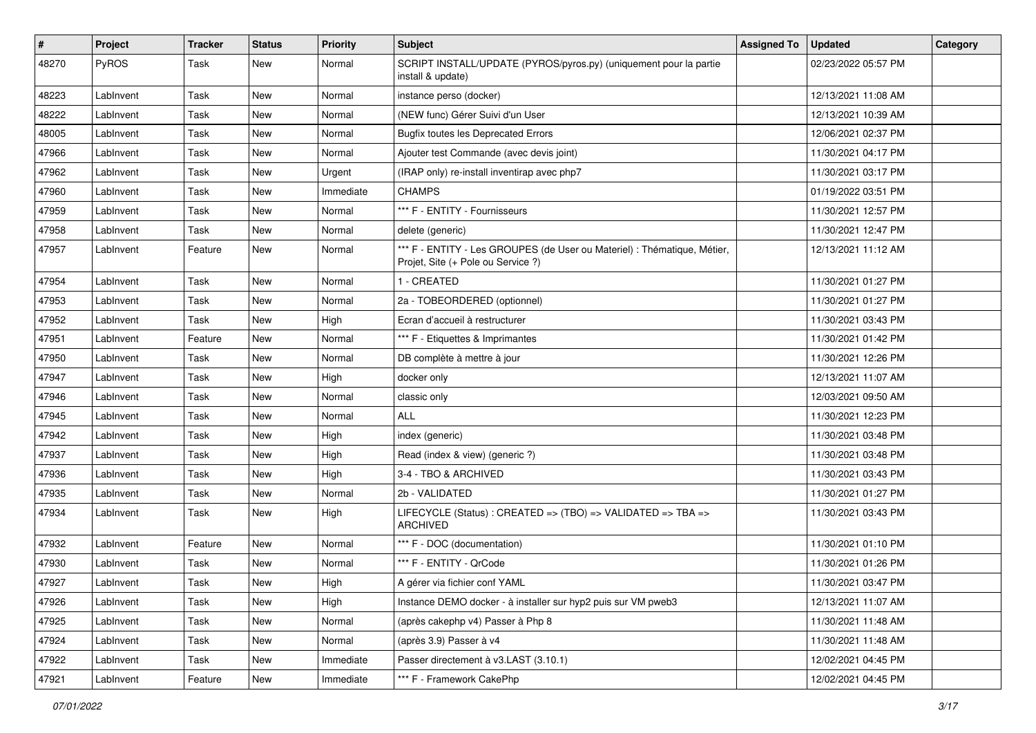| $\sharp$ | Project   | <b>Tracker</b> | <b>Status</b> | <b>Priority</b> | <b>Subject</b>                                                                                                 | <b>Assigned To</b> | <b>Updated</b>      | Category |
|----------|-----------|----------------|---------------|-----------------|----------------------------------------------------------------------------------------------------------------|--------------------|---------------------|----------|
| 48270    | PyROS     | Task           | New           | Normal          | SCRIPT INSTALL/UPDATE (PYROS/pyros.py) (uniquement pour la partie<br>install & update)                         |                    | 02/23/2022 05:57 PM |          |
| 48223    | LabInvent | Task           | New           | Normal          | instance perso (docker)                                                                                        |                    | 12/13/2021 11:08 AM |          |
| 48222    | LabInvent | Task           | <b>New</b>    | Normal          | (NEW func) Gérer Suivi d'un User                                                                               |                    | 12/13/2021 10:39 AM |          |
| 48005    | LabInvent | Task           | <b>New</b>    | Normal          | <b>Bugfix toutes les Deprecated Errors</b>                                                                     |                    | 12/06/2021 02:37 PM |          |
| 47966    | LabInvent | Task           | New           | Normal          | Ajouter test Commande (avec devis joint)                                                                       |                    | 11/30/2021 04:17 PM |          |
| 47962    | LabInvent | Task           | <b>New</b>    | Urgent          | (IRAP only) re-install inventirap avec php7                                                                    |                    | 11/30/2021 03:17 PM |          |
| 47960    | LabInvent | Task           | New           | Immediate       | <b>CHAMPS</b>                                                                                                  |                    | 01/19/2022 03:51 PM |          |
| 47959    | LabInvent | Task           | New           | Normal          | *** F - ENTITY - Fournisseurs                                                                                  |                    | 11/30/2021 12:57 PM |          |
| 47958    | LabInvent | Task           | <b>New</b>    | Normal          | delete (generic)                                                                                               |                    | 11/30/2021 12:47 PM |          |
| 47957    | LabInvent | Feature        | New           | Normal          | *** F - ENTITY - Les GROUPES (de User ou Materiel) : Thématique, Métier,<br>Projet, Site (+ Pole ou Service ?) |                    | 12/13/2021 11:12 AM |          |
| 47954    | LabInvent | Task           | <b>New</b>    | Normal          | 1 - CREATED                                                                                                    |                    | 11/30/2021 01:27 PM |          |
| 47953    | LabInvent | Task           | New           | Normal          | 2a - TOBEORDERED (optionnel)                                                                                   |                    | 11/30/2021 01:27 PM |          |
| 47952    | LabInvent | Task           | <b>New</b>    | High            | Ecran d'accueil à restructurer                                                                                 |                    | 11/30/2021 03:43 PM |          |
| 47951    | LabInvent | Feature        | New           | Normal          | *** F - Etiquettes & Imprimantes                                                                               |                    | 11/30/2021 01:42 PM |          |
| 47950    | LabInvent | Task           | <b>New</b>    | Normal          | DB complète à mettre à jour                                                                                    |                    | 11/30/2021 12:26 PM |          |
| 47947    | LabInvent | Task           | New           | High            | docker only                                                                                                    |                    | 12/13/2021 11:07 AM |          |
| 47946    | LabInvent | Task           | New           | Normal          | classic only                                                                                                   |                    | 12/03/2021 09:50 AM |          |
| 47945    | LabInvent | Task           | New           | Normal          | <b>ALL</b>                                                                                                     |                    | 11/30/2021 12:23 PM |          |
| 47942    | LabInvent | Task           | New           | High            | index (generic)                                                                                                |                    | 11/30/2021 03:48 PM |          |
| 47937    | LabInvent | Task           | <b>New</b>    | High            | Read (index & view) (generic ?)                                                                                |                    | 11/30/2021 03:48 PM |          |
| 47936    | LabInvent | Task           | <b>New</b>    | High            | 3-4 - TBO & ARCHIVED                                                                                           |                    | 11/30/2021 03:43 PM |          |
| 47935    | LabInvent | Task           | New           | Normal          | 2b - VALIDATED                                                                                                 |                    | 11/30/2021 01:27 PM |          |
| 47934    | LabInvent | Task           | New           | High            | LIFECYCLE (Status) : CREATED => (TBO) => VALIDATED => TBA =><br><b>ARCHIVED</b>                                |                    | 11/30/2021 03:43 PM |          |
| 47932    | LabInvent | Feature        | New           | Normal          | *** F - DOC (documentation)                                                                                    |                    | 11/30/2021 01:10 PM |          |
| 47930    | LabInvent | Task           | New           | Normal          | *** F - ENTITY - QrCode                                                                                        |                    | 11/30/2021 01:26 PM |          |
| 47927    | LabInvent | Task           | New           | High            | A gérer via fichier conf YAML                                                                                  |                    | 11/30/2021 03:47 PM |          |
| 47926    | LabInvent | Task           | New           | High            | Instance DEMO docker - à installer sur hyp2 puis sur VM pweb3                                                  |                    | 12/13/2021 11:07 AM |          |
| 47925    | LabInvent | Task           | New           | Normal          | (après cakephp v4) Passer à Php 8                                                                              |                    | 11/30/2021 11:48 AM |          |
| 47924    | LabInvent | Task           | New           | Normal          | (après 3.9) Passer à v4                                                                                        |                    | 11/30/2021 11:48 AM |          |
| 47922    | LabInvent | Task           | New           | Immediate       | Passer directement à v3.LAST (3.10.1)                                                                          |                    | 12/02/2021 04:45 PM |          |
| 47921    | LabInvent | Feature        | New           | Immediate       | *** F - Framework CakePhp                                                                                      |                    | 12/02/2021 04:45 PM |          |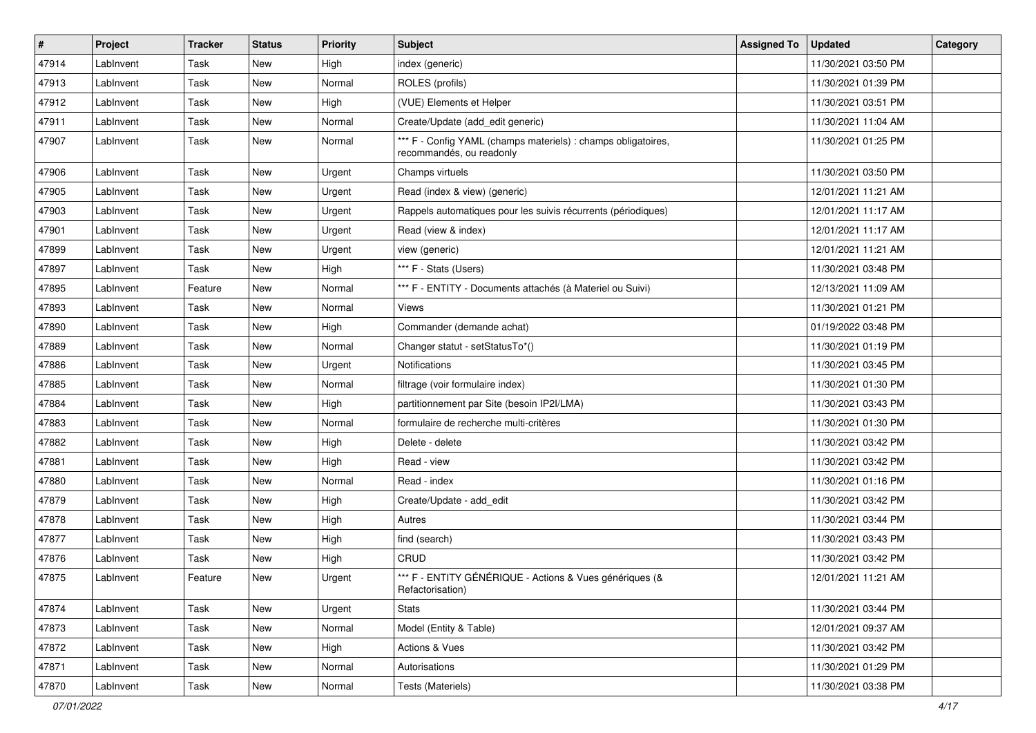| #     | Project   | <b>Tracker</b> | <b>Status</b> | <b>Priority</b> | <b>Subject</b>                                                                            | <b>Assigned To</b> | <b>Updated</b>      | Category |
|-------|-----------|----------------|---------------|-----------------|-------------------------------------------------------------------------------------------|--------------------|---------------------|----------|
| 47914 | LabInvent | Task           | <b>New</b>    | High            | index (generic)                                                                           |                    | 11/30/2021 03:50 PM |          |
| 47913 | LabInvent | Task           | New           | Normal          | ROLES (profils)                                                                           |                    | 11/30/2021 01:39 PM |          |
| 47912 | LabInvent | Task           | New           | High            | (VUE) Elements et Helper                                                                  |                    | 11/30/2021 03:51 PM |          |
| 47911 | LabInvent | Task           | New           | Normal          | Create/Update (add_edit generic)                                                          |                    | 11/30/2021 11:04 AM |          |
| 47907 | LabInvent | Task           | <b>New</b>    | Normal          | *** F - Config YAML (champs materiels) : champs obligatoires,<br>recommandés, ou readonly |                    | 11/30/2021 01:25 PM |          |
| 47906 | LabInvent | Task           | New           | Urgent          | Champs virtuels                                                                           |                    | 11/30/2021 03:50 PM |          |
| 47905 | LabInvent | Task           | New           | Urgent          | Read (index & view) (generic)                                                             |                    | 12/01/2021 11:21 AM |          |
| 47903 | LabInvent | Task           | <b>New</b>    | Urgent          | Rappels automatiques pour les suivis récurrents (périodiques)                             |                    | 12/01/2021 11:17 AM |          |
| 47901 | LabInvent | Task           | New           | Urgent          | Read (view & index)                                                                       |                    | 12/01/2021 11:17 AM |          |
| 47899 | LabInvent | Task           | New           | Urgent          | view (generic)                                                                            |                    | 12/01/2021 11:21 AM |          |
| 47897 | LabInvent | Task           | New           | High            | *** F - Stats (Users)                                                                     |                    | 11/30/2021 03:48 PM |          |
| 47895 | LabInvent | Feature        | New           | Normal          | *** F - ENTITY - Documents attachés (à Materiel ou Suivi)                                 |                    | 12/13/2021 11:09 AM |          |
| 47893 | LabInvent | Task           | New           | Normal          | Views                                                                                     |                    | 11/30/2021 01:21 PM |          |
| 47890 | LabInvent | Task           | <b>New</b>    | High            | Commander (demande achat)                                                                 |                    | 01/19/2022 03:48 PM |          |
| 47889 | LabInvent | Task           | New           | Normal          | Changer statut - setStatusTo*()                                                           |                    | 11/30/2021 01:19 PM |          |
| 47886 | LabInvent | Task           | New           | Urgent          | Notifications                                                                             |                    | 11/30/2021 03:45 PM |          |
| 47885 | LabInvent | Task           | New           | Normal          | filtrage (voir formulaire index)                                                          |                    | 11/30/2021 01:30 PM |          |
| 47884 | LabInvent | Task           | New           | High            | partitionnement par Site (besoin IP2I/LMA)                                                |                    | 11/30/2021 03:43 PM |          |
| 47883 | LabInvent | Task           | <b>New</b>    | Normal          | formulaire de recherche multi-critères                                                    |                    | 11/30/2021 01:30 PM |          |
| 47882 | LabInvent | Task           | New           | High            | Delete - delete                                                                           |                    | 11/30/2021 03:42 PM |          |
| 47881 | LabInvent | Task           | <b>New</b>    | High            | Read - view                                                                               |                    | 11/30/2021 03:42 PM |          |
| 47880 | LabInvent | Task           | <b>New</b>    | Normal          | Read - index                                                                              |                    | 11/30/2021 01:16 PM |          |
| 47879 | LabInvent | Task           | New           | High            | Create/Update - add edit                                                                  |                    | 11/30/2021 03:42 PM |          |
| 47878 | LabInvent | Task           | New           | High            | Autres                                                                                    |                    | 11/30/2021 03:44 PM |          |
| 47877 | LabInvent | Task           | New           | High            | find (search)                                                                             |                    | 11/30/2021 03:43 PM |          |
| 47876 | LabInvent | Task           | New           | High            | CRUD                                                                                      |                    | 11/30/2021 03:42 PM |          |
| 47875 | LabInvent | Feature        | New           | Urgent          | *** F - ENTITY GÉNÉRIQUE - Actions & Vues génériques (&<br>Refactorisation)               |                    | 12/01/2021 11:21 AM |          |
| 47874 | Lablnvent | Task           | New           | Urgent          | <b>Stats</b>                                                                              |                    | 11/30/2021 03:44 PM |          |
| 47873 | LabInvent | Task           | New           | Normal          | Model (Entity & Table)                                                                    |                    | 12/01/2021 09:37 AM |          |
| 47872 | LabInvent | Task           | New           | High            | Actions & Vues                                                                            |                    | 11/30/2021 03:42 PM |          |
| 47871 | LabInvent | Task           | New           | Normal          | Autorisations                                                                             |                    | 11/30/2021 01:29 PM |          |
| 47870 | LabInvent | Task           | New           | Normal          | Tests (Materiels)                                                                         |                    | 11/30/2021 03:38 PM |          |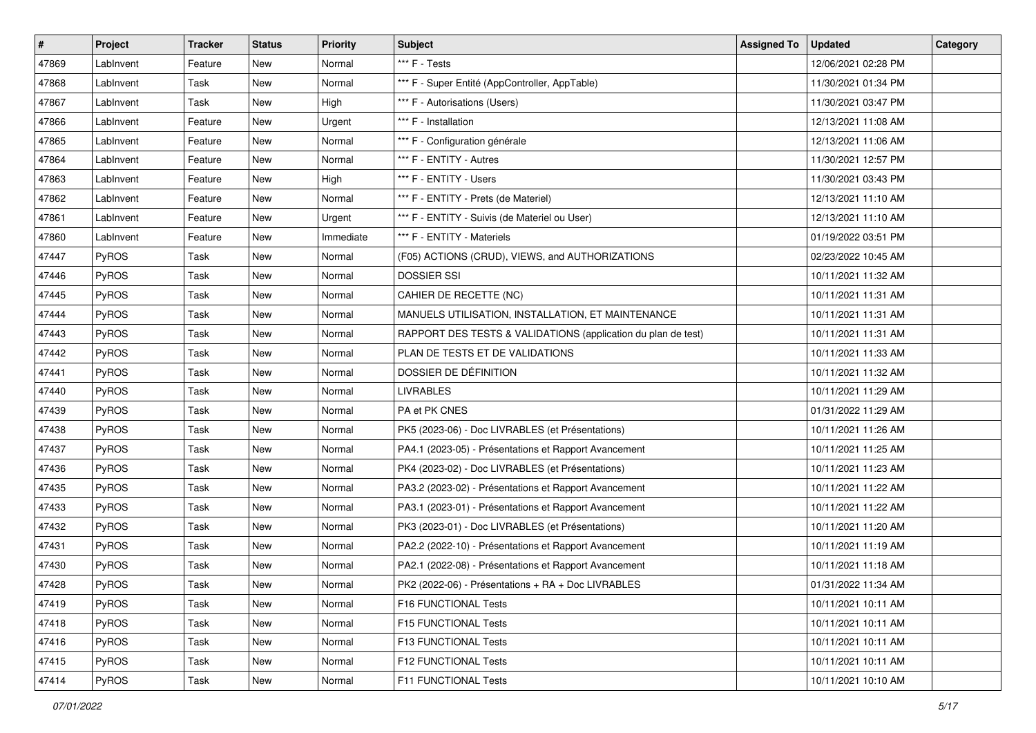| #     | <b>Project</b> | <b>Tracker</b> | <b>Status</b> | <b>Priority</b> | <b>Subject</b>                                                | <b>Assigned To</b> | <b>Updated</b>      | Category |
|-------|----------------|----------------|---------------|-----------------|---------------------------------------------------------------|--------------------|---------------------|----------|
| 47869 | LabInvent      | Feature        | New           | Normal          | *** F - Tests                                                 |                    | 12/06/2021 02:28 PM |          |
| 47868 | LabInvent      | Task           | <b>New</b>    | Normal          | *** F - Super Entité (AppController, AppTable)                |                    | 11/30/2021 01:34 PM |          |
| 47867 | LabInvent      | Task           | New           | High            | *** F - Autorisations (Users)                                 |                    | 11/30/2021 03:47 PM |          |
| 47866 | LabInvent      | Feature        | <b>New</b>    | Urgent          | *** F - Installation                                          |                    | 12/13/2021 11:08 AM |          |
| 47865 | LabInvent      | Feature        | <b>New</b>    | Normal          | *** F - Configuration générale                                |                    | 12/13/2021 11:06 AM |          |
| 47864 | LabInvent      | Feature        | New           | Normal          | *** F - ENTITY - Autres                                       |                    | 11/30/2021 12:57 PM |          |
| 47863 | LabInvent      | Feature        | <b>New</b>    | High            | *** F - ENTITY - Users                                        |                    | 11/30/2021 03:43 PM |          |
| 47862 | LabInvent      | Feature        | New           | Normal          | *** F - ENTITY - Prets (de Materiel)                          |                    | 12/13/2021 11:10 AM |          |
| 47861 | LabInvent      | Feature        | <b>New</b>    | Urgent          | *** F - ENTITY - Suivis (de Materiel ou User)                 |                    | 12/13/2021 11:10 AM |          |
| 47860 | LabInvent      | Feature        | <b>New</b>    | Immediate       | *** F - ENTITY - Materiels                                    |                    | 01/19/2022 03:51 PM |          |
| 47447 | <b>PyROS</b>   | Task           | New           | Normal          | (F05) ACTIONS (CRUD), VIEWS, and AUTHORIZATIONS               |                    | 02/23/2022 10:45 AM |          |
| 47446 | PyROS          | Task           | <b>New</b>    | Normal          | <b>DOSSIER SSI</b>                                            |                    | 10/11/2021 11:32 AM |          |
| 47445 | PyROS          | Task           | New           | Normal          | CAHIER DE RECETTE (NC)                                        |                    | 10/11/2021 11:31 AM |          |
| 47444 | PyROS          | Task           | <b>New</b>    | Normal          | MANUELS UTILISATION, INSTALLATION, ET MAINTENANCE             |                    | 10/11/2021 11:31 AM |          |
| 47443 | PyROS          | Task           | <b>New</b>    | Normal          | RAPPORT DES TESTS & VALIDATIONS (application du plan de test) |                    | 10/11/2021 11:31 AM |          |
| 47442 | <b>PyROS</b>   | Task           | New           | Normal          | PLAN DE TESTS ET DE VALIDATIONS                               |                    | 10/11/2021 11:33 AM |          |
| 47441 | PyROS          | Task           | <b>New</b>    | Normal          | DOSSIER DE DÉFINITION                                         |                    | 10/11/2021 11:32 AM |          |
| 47440 | PyROS          | Task           | <b>New</b>    | Normal          | <b>LIVRABLES</b>                                              |                    | 10/11/2021 11:29 AM |          |
| 47439 | PyROS          | Task           | New           | Normal          | PA et PK CNES                                                 |                    | 01/31/2022 11:29 AM |          |
| 47438 | PyROS          | Task           | New           | Normal          | PK5 (2023-06) - Doc LIVRABLES (et Présentations)              |                    | 10/11/2021 11:26 AM |          |
| 47437 | <b>PyROS</b>   | Task           | New           | Normal          | PA4.1 (2023-05) - Présentations et Rapport Avancement         |                    | 10/11/2021 11:25 AM |          |
| 47436 | PyROS          | Task           | <b>New</b>    | Normal          | PK4 (2023-02) - Doc LIVRABLES (et Présentations)              |                    | 10/11/2021 11:23 AM |          |
| 47435 | PyROS          | Task           | <b>New</b>    | Normal          | PA3.2 (2023-02) - Présentations et Rapport Avancement         |                    | 10/11/2021 11:22 AM |          |
| 47433 | <b>PyROS</b>   | Task           | New           | Normal          | PA3.1 (2023-01) - Présentations et Rapport Avancement         |                    | 10/11/2021 11:22 AM |          |
| 47432 | PyROS          | Task           | <b>New</b>    | Normal          | PK3 (2023-01) - Doc LIVRABLES (et Présentations)              |                    | 10/11/2021 11:20 AM |          |
| 47431 | <b>PyROS</b>   | Task           | New           | Normal          | PA2.2 (2022-10) - Présentations et Rapport Avancement         |                    | 10/11/2021 11:19 AM |          |
| 47430 | PyROS          | Task           | <b>New</b>    | Normal          | PA2.1 (2022-08) - Présentations et Rapport Avancement         |                    | 10/11/2021 11:18 AM |          |
| 47428 | PyROS          | Task           | New           | Normal          | PK2 (2022-06) - Présentations + RA + Doc LIVRABLES            |                    | 01/31/2022 11:34 AM |          |
| 47419 | <b>PyROS</b>   | Task           | New           | Normal          | F16 FUNCTIONAL Tests                                          |                    | 10/11/2021 10:11 AM |          |
| 47418 | PyROS          | Task           | New           | Normal          | F15 FUNCTIONAL Tests                                          |                    | 10/11/2021 10:11 AM |          |
| 47416 | <b>PyROS</b>   | Task           | New           | Normal          | F13 FUNCTIONAL Tests                                          |                    | 10/11/2021 10:11 AM |          |
| 47415 | PyROS          | Task           | New           | Normal          | <b>F12 FUNCTIONAL Tests</b>                                   |                    | 10/11/2021 10:11 AM |          |
| 47414 | PyROS          | Task           | New           | Normal          | F11 FUNCTIONAL Tests                                          |                    | 10/11/2021 10:10 AM |          |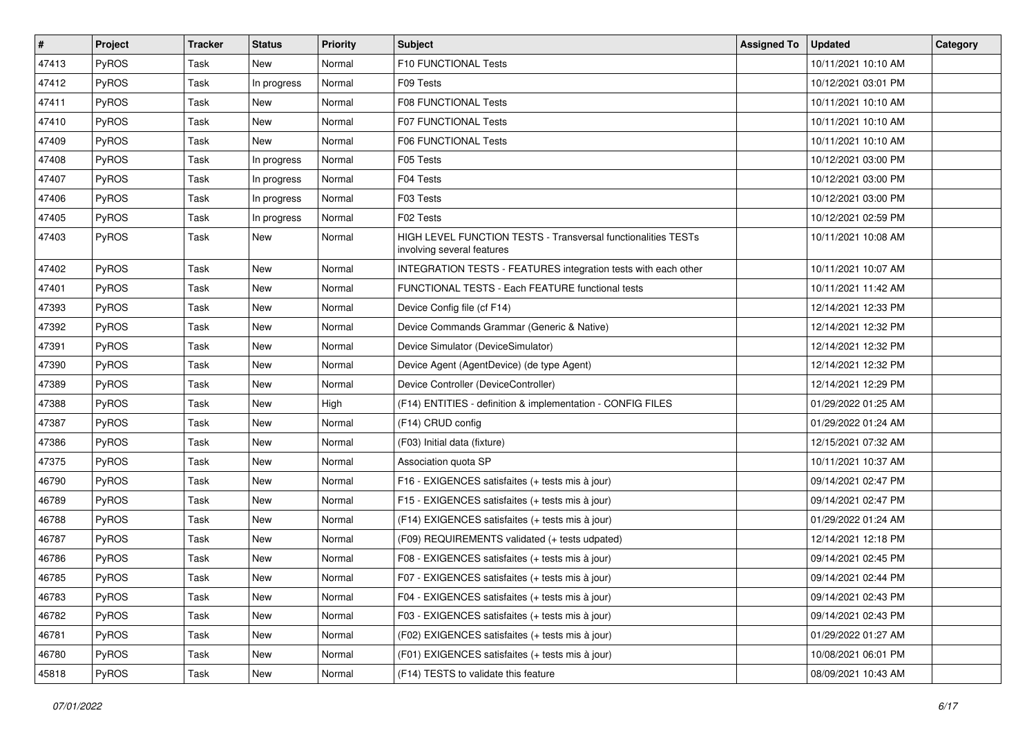| $\vert$ # | Project      | <b>Tracker</b> | <b>Status</b> | Priority | <b>Subject</b>                                                                              | <b>Assigned To</b> | <b>Updated</b>      | Category |
|-----------|--------------|----------------|---------------|----------|---------------------------------------------------------------------------------------------|--------------------|---------------------|----------|
| 47413     | PyROS        | Task           | New           | Normal   | F10 FUNCTIONAL Tests                                                                        |                    | 10/11/2021 10:10 AM |          |
| 47412     | PyROS        | Task           | In progress   | Normal   | F09 Tests                                                                                   |                    | 10/12/2021 03:01 PM |          |
| 47411     | PyROS        | Task           | New           | Normal   | <b>F08 FUNCTIONAL Tests</b>                                                                 |                    | 10/11/2021 10:10 AM |          |
| 47410     | PyROS        | Task           | New           | Normal   | <b>F07 FUNCTIONAL Tests</b>                                                                 |                    | 10/11/2021 10:10 AM |          |
| 47409     | PyROS        | Task           | New           | Normal   | <b>F06 FUNCTIONAL Tests</b>                                                                 |                    | 10/11/2021 10:10 AM |          |
| 47408     | PyROS        | Task           | In progress   | Normal   | F05 Tests                                                                                   |                    | 10/12/2021 03:00 PM |          |
| 47407     | PyROS        | Task           | In progress   | Normal   | F04 Tests                                                                                   |                    | 10/12/2021 03:00 PM |          |
| 47406     | PyROS        | Task           | In progress   | Normal   | F03 Tests                                                                                   |                    | 10/12/2021 03:00 PM |          |
| 47405     | PyROS        | Task           | In progress   | Normal   | F02 Tests                                                                                   |                    | 10/12/2021 02:59 PM |          |
| 47403     | PyROS        | Task           | New           | Normal   | HIGH LEVEL FUNCTION TESTS - Transversal functionalities TESTs<br>involving several features |                    | 10/11/2021 10:08 AM |          |
| 47402     | PyROS        | Task           | <b>New</b>    | Normal   | INTEGRATION TESTS - FEATURES integration tests with each other                              |                    | 10/11/2021 10:07 AM |          |
| 47401     | PyROS        | Task           | New           | Normal   | FUNCTIONAL TESTS - Each FEATURE functional tests                                            |                    | 10/11/2021 11:42 AM |          |
| 47393     | PyROS        | Task           | New           | Normal   | Device Config file (cf F14)                                                                 |                    | 12/14/2021 12:33 PM |          |
| 47392     | PyROS        | Task           | <b>New</b>    | Normal   | Device Commands Grammar (Generic & Native)                                                  |                    | 12/14/2021 12:32 PM |          |
| 47391     | PyROS        | Task           | New           | Normal   | Device Simulator (DeviceSimulator)                                                          |                    | 12/14/2021 12:32 PM |          |
| 47390     | PyROS        | Task           | New           | Normal   | Device Agent (AgentDevice) (de type Agent)                                                  |                    | 12/14/2021 12:32 PM |          |
| 47389     | PyROS        | Task           | New           | Normal   | Device Controller (DeviceController)                                                        |                    | 12/14/2021 12:29 PM |          |
| 47388     | PyROS        | Task           | <b>New</b>    | High     | (F14) ENTITIES - definition & implementation - CONFIG FILES                                 |                    | 01/29/2022 01:25 AM |          |
| 47387     | PyROS        | Task           | <b>New</b>    | Normal   | (F14) CRUD config                                                                           |                    | 01/29/2022 01:24 AM |          |
| 47386     | PyROS        | Task           | New           | Normal   | (F03) Initial data (fixture)                                                                |                    | 12/15/2021 07:32 AM |          |
| 47375     | PyROS        | Task           | <b>New</b>    | Normal   | Association quota SP                                                                        |                    | 10/11/2021 10:37 AM |          |
| 46790     | PyROS        | Task           | New           | Normal   | F16 - EXIGENCES satisfaites (+ tests mis à jour)                                            |                    | 09/14/2021 02:47 PM |          |
| 46789     | <b>PyROS</b> | Task           | New           | Normal   | F15 - EXIGENCES satisfaites (+ tests mis à jour)                                            |                    | 09/14/2021 02:47 PM |          |
| 46788     | PyROS        | Task           | New           | Normal   | (F14) EXIGENCES satisfaites (+ tests mis à jour)                                            |                    | 01/29/2022 01:24 AM |          |
| 46787     | PyROS        | Task           | New           | Normal   | (F09) REQUIREMENTS validated (+ tests udpated)                                              |                    | 12/14/2021 12:18 PM |          |
| 46786     | PyROS        | Task           | <b>New</b>    | Normal   | F08 - EXIGENCES satisfaites (+ tests mis à jour)                                            |                    | 09/14/2021 02:45 PM |          |
| 46785     | PyROS        | Task           | New           | Normal   | F07 - EXIGENCES satisfaites (+ tests mis à jour)                                            |                    | 09/14/2021 02:44 PM |          |
| 46783     | PyROS        | Task           | New           | Normal   | F04 - EXIGENCES satisfaites (+ tests mis à jour)                                            |                    | 09/14/2021 02:43 PM |          |
| 46782     | PyROS        | Task           | New           | Normal   | F03 - EXIGENCES satisfaites (+ tests mis à jour)                                            |                    | 09/14/2021 02:43 PM |          |
| 46781     | PyROS        | Task           | New           | Normal   | (F02) EXIGENCES satisfaites (+ tests mis à jour)                                            |                    | 01/29/2022 01:27 AM |          |
| 46780     | PyROS        | Task           | New           | Normal   | (F01) EXIGENCES satisfaites (+ tests mis à jour)                                            |                    | 10/08/2021 06:01 PM |          |
| 45818     | PyROS        | Task           | New           | Normal   | (F14) TESTS to validate this feature                                                        |                    | 08/09/2021 10:43 AM |          |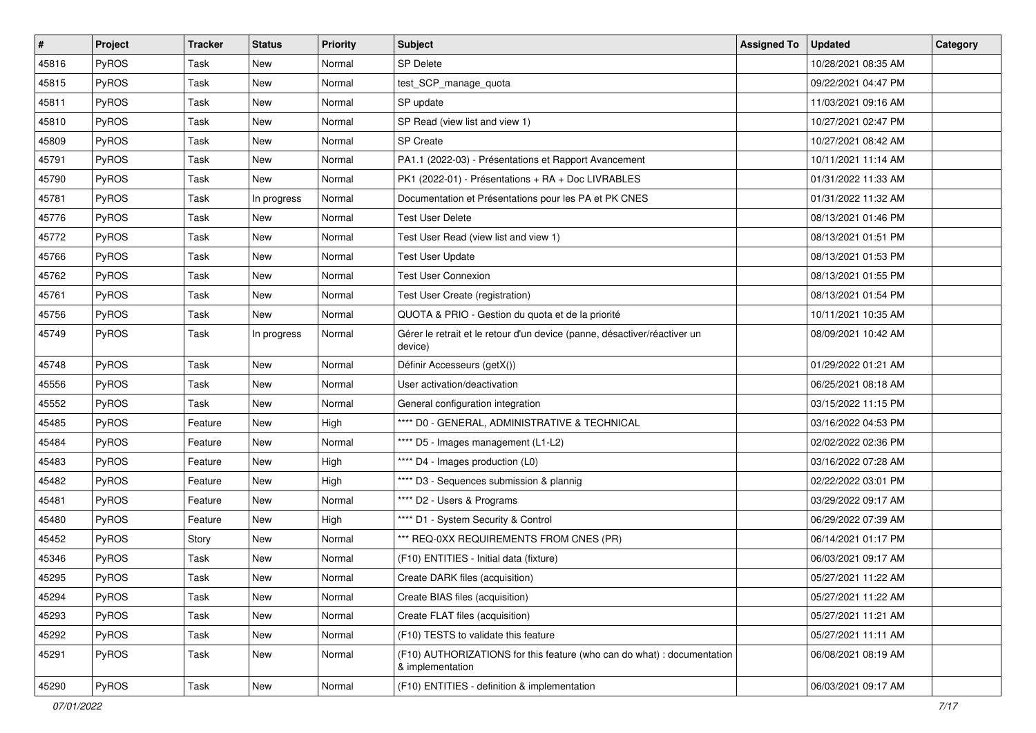| #     | <b>Project</b> | <b>Tracker</b> | <b>Status</b> | <b>Priority</b> | <b>Subject</b>                                                                              | <b>Assigned To</b> | <b>Updated</b>      | Category |
|-------|----------------|----------------|---------------|-----------------|---------------------------------------------------------------------------------------------|--------------------|---------------------|----------|
| 45816 | PyROS          | Task           | <b>New</b>    | Normal          | <b>SP Delete</b>                                                                            |                    | 10/28/2021 08:35 AM |          |
| 45815 | PyROS          | Task           | New           | Normal          | test_SCP_manage_quota                                                                       |                    | 09/22/2021 04:47 PM |          |
| 45811 | <b>PyROS</b>   | Task           | New           | Normal          | SP update                                                                                   |                    | 11/03/2021 09:16 AM |          |
| 45810 | PyROS          | Task           | New           | Normal          | SP Read (view list and view 1)                                                              |                    | 10/27/2021 02:47 PM |          |
| 45809 | PyROS          | Task           | New           | Normal          | <b>SP Create</b>                                                                            |                    | 10/27/2021 08:42 AM |          |
| 45791 | PyROS          | Task           | New           | Normal          | PA1.1 (2022-03) - Présentations et Rapport Avancement                                       |                    | 10/11/2021 11:14 AM |          |
| 45790 | PyROS          | Task           | <b>New</b>    | Normal          | PK1 (2022-01) - Présentations + RA + Doc LIVRABLES                                          |                    | 01/31/2022 11:33 AM |          |
| 45781 | <b>PyROS</b>   | Task           | In progress   | Normal          | Documentation et Présentations pour les PA et PK CNES                                       |                    | 01/31/2022 11:32 AM |          |
| 45776 | PyROS          | Task           | New           | Normal          | <b>Test User Delete</b>                                                                     |                    | 08/13/2021 01:46 PM |          |
| 45772 | PyROS          | Task           | New           | Normal          | Test User Read (view list and view 1)                                                       |                    | 08/13/2021 01:51 PM |          |
| 45766 | PyROS          | Task           | New           | Normal          | <b>Test User Update</b>                                                                     |                    | 08/13/2021 01:53 PM |          |
| 45762 | PyROS          | Task           | New           | Normal          | <b>Test User Connexion</b>                                                                  |                    | 08/13/2021 01:55 PM |          |
| 45761 | PyROS          | Task           | New           | Normal          | Test User Create (registration)                                                             |                    | 08/13/2021 01:54 PM |          |
| 45756 | PyROS          | Task           | New           | Normal          | QUOTA & PRIO - Gestion du quota et de la priorité                                           |                    | 10/11/2021 10:35 AM |          |
| 45749 | PyROS          | Task           | In progress   | Normal          | Gérer le retrait et le retour d'un device (panne, désactiver/réactiver un<br>device)        |                    | 08/09/2021 10:42 AM |          |
| 45748 | PyROS          | Task           | New           | Normal          | Définir Accesseurs (getX())                                                                 |                    | 01/29/2022 01:21 AM |          |
| 45556 | PyROS          | Task           | New           | Normal          | User activation/deactivation                                                                |                    | 06/25/2021 08:18 AM |          |
| 45552 | PyROS          | Task           | New           | Normal          | General configuration integration                                                           |                    | 03/15/2022 11:15 PM |          |
| 45485 | PyROS          | Feature        | New           | High            | **** D0 - GENERAL, ADMINISTRATIVE & TECHNICAL                                               |                    | 03/16/2022 04:53 PM |          |
| 45484 | PyROS          | Feature        | New           | Normal          | **** D5 - Images management (L1-L2)                                                         |                    | 02/02/2022 02:36 PM |          |
| 45483 | PyROS          | Feature        | New           | High            | **** D4 - Images production (L0)                                                            |                    | 03/16/2022 07:28 AM |          |
| 45482 | PyROS          | Feature        | <b>New</b>    | High            | **** D3 - Sequences submission & plannig                                                    |                    | 02/22/2022 03:01 PM |          |
| 45481 | PyROS          | Feature        | New           | Normal          | **** D2 - Users & Programs                                                                  |                    | 03/29/2022 09:17 AM |          |
| 45480 | PyROS          | Feature        | New           | High            | **** D1 - System Security & Control                                                         |                    | 06/29/2022 07:39 AM |          |
| 45452 | <b>PyROS</b>   | Story          | New           | Normal          | *** REQ-0XX REQUIREMENTS FROM CNES (PR)                                                     |                    | 06/14/2021 01:17 PM |          |
| 45346 | PyROS          | Task           | New           | Normal          | (F10) ENTITIES - Initial data (fixture)                                                     |                    | 06/03/2021 09:17 AM |          |
| 45295 | PyROS          | Task           | New           | Normal          | Create DARK files (acquisition)                                                             |                    | 05/27/2021 11:22 AM |          |
| 45294 | PyROS          | Task           | New           | Normal          | Create BIAS files (acquisition)                                                             |                    | 05/27/2021 11:22 AM |          |
| 45293 | PyROS          | Task           | New           | Normal          | Create FLAT files (acquisition)                                                             |                    | 05/27/2021 11:21 AM |          |
| 45292 | PyROS          | Task           | New           | Normal          | (F10) TESTS to validate this feature                                                        |                    | 05/27/2021 11:11 AM |          |
| 45291 | PyROS          | Task           | New           | Normal          | (F10) AUTHORIZATIONS for this feature (who can do what) : documentation<br>& implementation |                    | 06/08/2021 08:19 AM |          |
| 45290 | PyROS          | Task           | New           | Normal          | (F10) ENTITIES - definition & implementation                                                |                    | 06/03/2021 09:17 AM |          |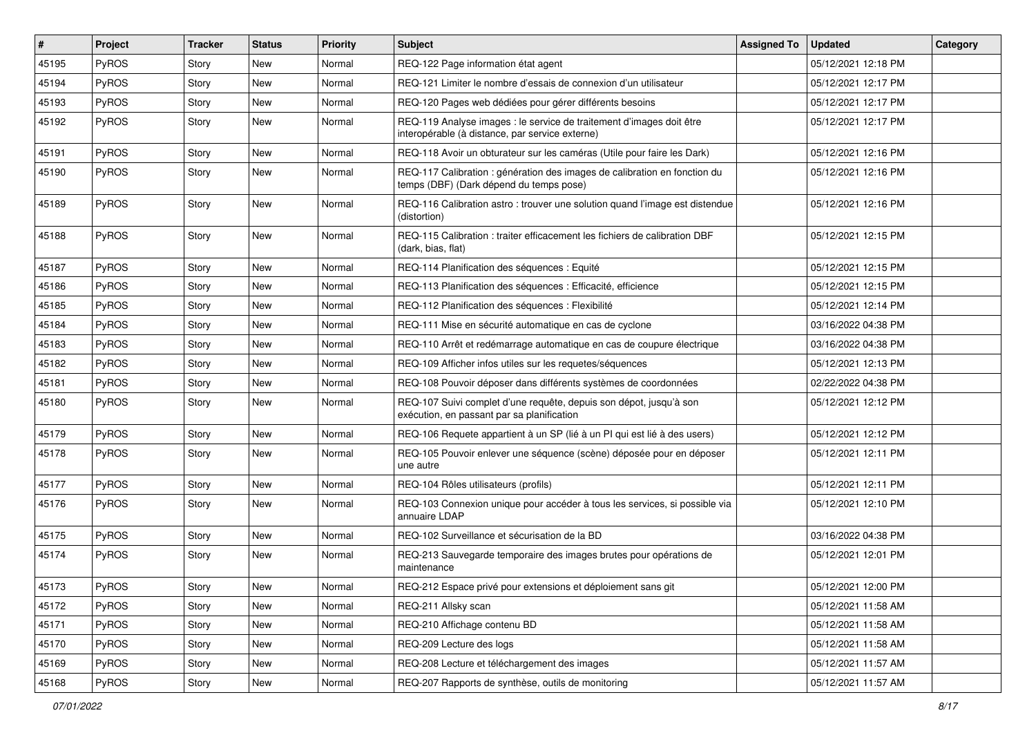| #     | Project      | <b>Tracker</b> | <b>Status</b> | <b>Priority</b> | Subject                                                                                                                 | <b>Assigned To</b> | <b>Updated</b>      | Category |
|-------|--------------|----------------|---------------|-----------------|-------------------------------------------------------------------------------------------------------------------------|--------------------|---------------------|----------|
| 45195 | PyROS        | Story          | New           | Normal          | REQ-122 Page information état agent                                                                                     |                    | 05/12/2021 12:18 PM |          |
| 45194 | PyROS        | Story          | New           | Normal          | REQ-121 Limiter le nombre d'essais de connexion d'un utilisateur                                                        |                    | 05/12/2021 12:17 PM |          |
| 45193 | <b>PyROS</b> | Story          | New           | Normal          | REQ-120 Pages web dédiées pour gérer différents besoins                                                                 |                    | 05/12/2021 12:17 PM |          |
| 45192 | PyROS        | Story          | New           | Normal          | REQ-119 Analyse images : le service de traitement d'images doit être<br>interopérable (à distance, par service externe) |                    | 05/12/2021 12:17 PM |          |
| 45191 | PyROS        | Story          | New           | Normal          | REQ-118 Avoir un obturateur sur les caméras (Utile pour faire les Dark)                                                 |                    | 05/12/2021 12:16 PM |          |
| 45190 | PyROS        | Story          | New           | Normal          | REQ-117 Calibration : génération des images de calibration en fonction du<br>temps (DBF) (Dark dépend du temps pose)    |                    | 05/12/2021 12:16 PM |          |
| 45189 | <b>PyROS</b> | Story          | New           | Normal          | REQ-116 Calibration astro : trouver une solution quand l'image est distendue<br>(distortion)                            |                    | 05/12/2021 12:16 PM |          |
| 45188 | PyROS        | Story          | New           | Normal          | REQ-115 Calibration: traiter efficacement les fichiers de calibration DBF<br>(dark, bias, flat)                         |                    | 05/12/2021 12:15 PM |          |
| 45187 | PyROS        | Story          | <b>New</b>    | Normal          | REQ-114 Planification des séquences : Equité                                                                            |                    | 05/12/2021 12:15 PM |          |
| 45186 | <b>PyROS</b> | Story          | <b>New</b>    | Normal          | REQ-113 Planification des séquences : Efficacité, efficience                                                            |                    | 05/12/2021 12:15 PM |          |
| 45185 | PyROS        | Story          | New           | Normal          | REQ-112 Planification des séquences : Flexibilité                                                                       |                    | 05/12/2021 12:14 PM |          |
| 45184 | PyROS        | Story          | New           | Normal          | REQ-111 Mise en sécurité automatique en cas de cyclone                                                                  |                    | 03/16/2022 04:38 PM |          |
| 45183 | PyROS        | Story          | New           | Normal          | REQ-110 Arrêt et redémarrage automatique en cas de coupure électrique                                                   |                    | 03/16/2022 04:38 PM |          |
| 45182 | PyROS        | Story          | New           | Normal          | REQ-109 Afficher infos utiles sur les requetes/séquences                                                                |                    | 05/12/2021 12:13 PM |          |
| 45181 | PyROS        | Story          | New           | Normal          | REQ-108 Pouvoir déposer dans différents systèmes de coordonnées                                                         |                    | 02/22/2022 04:38 PM |          |
| 45180 | <b>PyROS</b> | Story          | New           | Normal          | REQ-107 Suivi complet d'une requête, depuis son dépot, jusqu'à son<br>exécution, en passant par sa planification        |                    | 05/12/2021 12:12 PM |          |
| 45179 | PyROS        | Story          | New           | Normal          | REQ-106 Requete appartient à un SP (lié à un PI qui est lié à des users)                                                |                    | 05/12/2021 12:12 PM |          |
| 45178 | PyROS        | Story          | New           | Normal          | REQ-105 Pouvoir enlever une séquence (scène) déposée pour en déposer<br>une autre                                       |                    | 05/12/2021 12:11 PM |          |
| 45177 | PyROS        | Story          | New           | Normal          | REQ-104 Rôles utilisateurs (profils)                                                                                    |                    | 05/12/2021 12:11 PM |          |
| 45176 | PyROS        | Story          | New           | Normal          | REQ-103 Connexion unique pour accéder à tous les services, si possible via<br>annuaire LDAP                             |                    | 05/12/2021 12:10 PM |          |
| 45175 | PyROS        | Story          | New           | Normal          | REQ-102 Surveillance et sécurisation de la BD                                                                           |                    | 03/16/2022 04:38 PM |          |
| 45174 | <b>PyROS</b> | Story          | New           | Normal          | REQ-213 Sauvegarde temporaire des images brutes pour opérations de<br>maintenance                                       |                    | 05/12/2021 12:01 PM |          |
| 45173 | PyROS        | Story          | New           | Normal          | REQ-212 Espace privé pour extensions et déploiement sans git                                                            |                    | 05/12/2021 12:00 PM |          |
| 45172 | PyROS        | Story          | New           | Normal          | REQ-211 Allsky scan                                                                                                     |                    | 05/12/2021 11:58 AM |          |
| 45171 | PyROS        | Story          | New           | Normal          | REQ-210 Affichage contenu BD                                                                                            |                    | 05/12/2021 11:58 AM |          |
| 45170 | PyROS        | Story          | New           | Normal          | REQ-209 Lecture des logs                                                                                                |                    | 05/12/2021 11:58 AM |          |
| 45169 | PyROS        | Story          | New           | Normal          | REQ-208 Lecture et téléchargement des images                                                                            |                    | 05/12/2021 11:57 AM |          |
| 45168 | PyROS        | Story          | New           | Normal          | REQ-207 Rapports de synthèse, outils de monitoring                                                                      |                    | 05/12/2021 11:57 AM |          |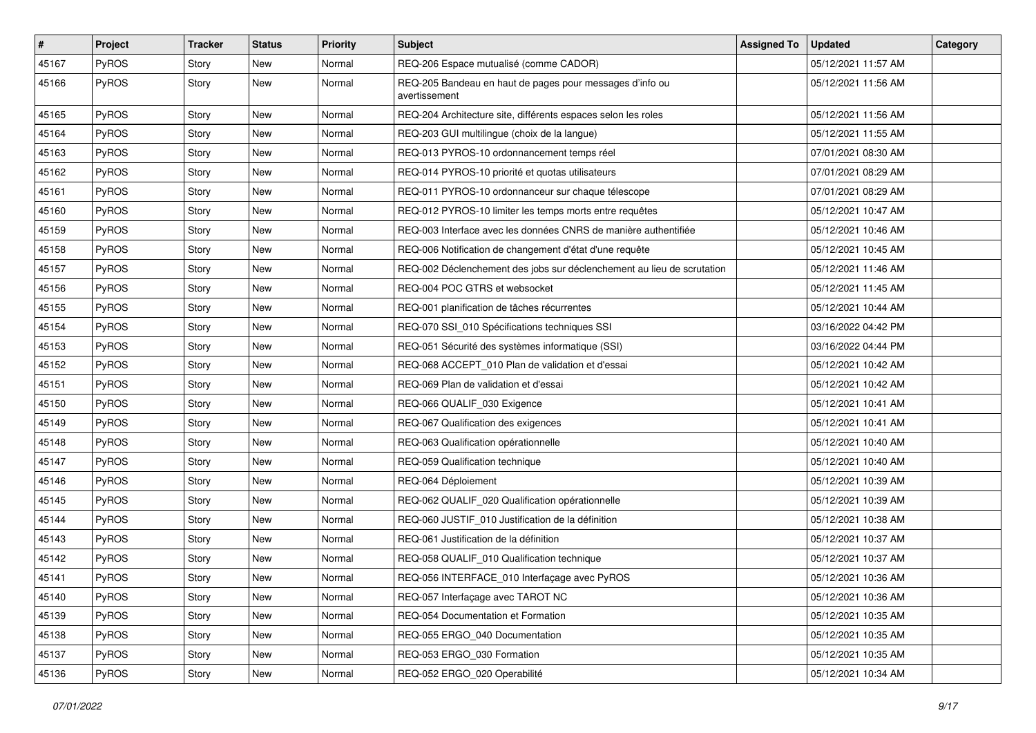| $\vert$ # | <b>Project</b> | <b>Tracker</b> | <b>Status</b> | Priority | <b>Subject</b>                                                            | <b>Assigned To</b> | <b>Updated</b>      | Category |
|-----------|----------------|----------------|---------------|----------|---------------------------------------------------------------------------|--------------------|---------------------|----------|
| 45167     | PyROS          | Story          | New           | Normal   | REQ-206 Espace mutualisé (comme CADOR)                                    |                    | 05/12/2021 11:57 AM |          |
| 45166     | PyROS          | Story          | New           | Normal   | REQ-205 Bandeau en haut de pages pour messages d'info ou<br>avertissement |                    | 05/12/2021 11:56 AM |          |
| 45165     | PyROS          | Story          | New           | Normal   | REQ-204 Architecture site, différents espaces selon les roles             |                    | 05/12/2021 11:56 AM |          |
| 45164     | PyROS          | Story          | <b>New</b>    | Normal   | REQ-203 GUI multilingue (choix de la langue)                              |                    | 05/12/2021 11:55 AM |          |
| 45163     | PyROS          | Story          | New           | Normal   | REQ-013 PYROS-10 ordonnancement temps réel                                |                    | 07/01/2021 08:30 AM |          |
| 45162     | PyROS          | Story          | New           | Normal   | REQ-014 PYROS-10 priorité et quotas utilisateurs                          |                    | 07/01/2021 08:29 AM |          |
| 45161     | PyROS          | Story          | New           | Normal   | REQ-011 PYROS-10 ordonnanceur sur chaque télescope                        |                    | 07/01/2021 08:29 AM |          |
| 45160     | PyROS          | Story          | New           | Normal   | REQ-012 PYROS-10 limiter les temps morts entre requêtes                   |                    | 05/12/2021 10:47 AM |          |
| 45159     | PyROS          | Story          | New           | Normal   | REQ-003 Interface avec les données CNRS de manière authentifiée           |                    | 05/12/2021 10:46 AM |          |
| 45158     | <b>PyROS</b>   | Story          | New           | Normal   | REQ-006 Notification de changement d'état d'une requête                   |                    | 05/12/2021 10:45 AM |          |
| 45157     | PyROS          | Story          | New           | Normal   | REQ-002 Déclenchement des jobs sur déclenchement au lieu de scrutation    |                    | 05/12/2021 11:46 AM |          |
| 45156     | PyROS          | Story          | New           | Normal   | REQ-004 POC GTRS et websocket                                             |                    | 05/12/2021 11:45 AM |          |
| 45155     | PyROS          | Story          | <b>New</b>    | Normal   | REQ-001 planification de tâches récurrentes                               |                    | 05/12/2021 10:44 AM |          |
| 45154     | PyROS          | Story          | New           | Normal   | REQ-070 SSI_010 Spécifications techniques SSI                             |                    | 03/16/2022 04:42 PM |          |
| 45153     | <b>PyROS</b>   | Story          | New           | Normal   | REQ-051 Sécurité des systèmes informatique (SSI)                          |                    | 03/16/2022 04:44 PM |          |
| 45152     | PyROS          | Story          | New           | Normal   | REQ-068 ACCEPT 010 Plan de validation et d'essai                          |                    | 05/12/2021 10:42 AM |          |
| 45151     | PyROS          | Story          | New           | Normal   | REQ-069 Plan de validation et d'essai                                     |                    | 05/12/2021 10:42 AM |          |
| 45150     | PyROS          | Story          | New           | Normal   | REQ-066 QUALIF_030 Exigence                                               |                    | 05/12/2021 10:41 AM |          |
| 45149     | PyROS          | Story          | New           | Normal   | REQ-067 Qualification des exigences                                       |                    | 05/12/2021 10:41 AM |          |
| 45148     | PyROS          | Story          | New           | Normal   | REQ-063 Qualification opérationnelle                                      |                    | 05/12/2021 10:40 AM |          |
| 45147     | PyROS          | Story          | New           | Normal   | REQ-059 Qualification technique                                           |                    | 05/12/2021 10:40 AM |          |
| 45146     | PyROS          | Story          | New           | Normal   | REQ-064 Déploiement                                                       |                    | 05/12/2021 10:39 AM |          |
| 45145     | PyROS          | Story          | New           | Normal   | REQ-062 QUALIF_020 Qualification opérationnelle                           |                    | 05/12/2021 10:39 AM |          |
| 45144     | PyROS          | Story          | New           | Normal   | REQ-060 JUSTIF_010 Justification de la définition                         |                    | 05/12/2021 10:38 AM |          |
| 45143     | <b>PyROS</b>   | Story          | New           | Normal   | REQ-061 Justification de la définition                                    |                    | 05/12/2021 10:37 AM |          |
| 45142     | PyROS          | Story          | New           | Normal   | REQ-058 QUALIF_010 Qualification technique                                |                    | 05/12/2021 10:37 AM |          |
| 45141     | PyROS          | Story          | New           | Normal   | REQ-056 INTERFACE_010 Interfaçage avec PyROS                              |                    | 05/12/2021 10:36 AM |          |
| 45140     | PyROS          | Story          | New           | Normal   | REQ-057 Interfacage avec TAROT NC                                         |                    | 05/12/2021 10:36 AM |          |
| 45139     | PyROS          | Story          | New           | Normal   | REQ-054 Documentation et Formation                                        |                    | 05/12/2021 10:35 AM |          |
| 45138     | PyROS          | Story          | New           | Normal   | REQ-055 ERGO_040 Documentation                                            |                    | 05/12/2021 10:35 AM |          |
| 45137     | PyROS          | Story          | New           | Normal   | REQ-053 ERGO 030 Formation                                                |                    | 05/12/2021 10:35 AM |          |
| 45136     | PyROS          | Story          | New           | Normal   | REQ-052 ERGO_020 Operabilité                                              |                    | 05/12/2021 10:34 AM |          |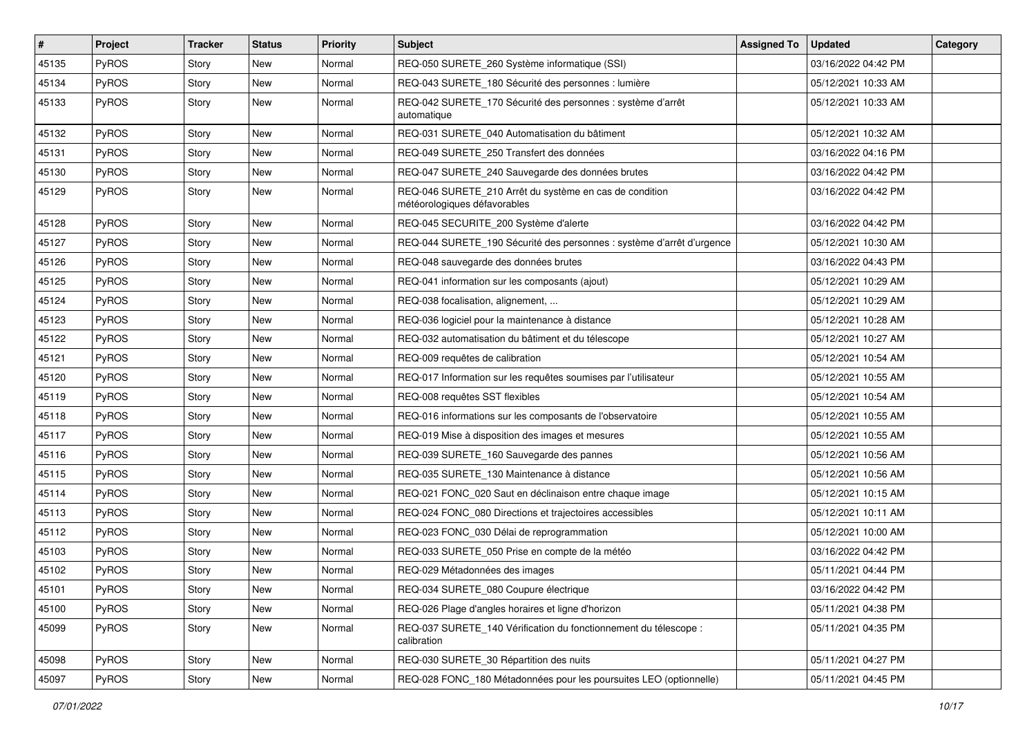| $\vert$ # | Project | <b>Tracker</b> | <b>Status</b> | <b>Priority</b> | <b>Subject</b>                                                                          | <b>Assigned To</b> | <b>Updated</b>      | Category |
|-----------|---------|----------------|---------------|-----------------|-----------------------------------------------------------------------------------------|--------------------|---------------------|----------|
| 45135     | PyROS   | Story          | New           | Normal          | REQ-050 SURETE_260 Système informatique (SSI)                                           |                    | 03/16/2022 04:42 PM |          |
| 45134     | PyROS   | Story          | New           | Normal          | REQ-043 SURETE_180 Sécurité des personnes : lumière                                     |                    | 05/12/2021 10:33 AM |          |
| 45133     | PyROS   | Story          | New           | Normal          | REQ-042 SURETE_170 Sécurité des personnes : système d'arrêt<br>automatique              |                    | 05/12/2021 10:33 AM |          |
| 45132     | PyROS   | Story          | <b>New</b>    | Normal          | REQ-031 SURETE_040 Automatisation du bâtiment                                           |                    | 05/12/2021 10:32 AM |          |
| 45131     | PyROS   | Story          | New           | Normal          | REQ-049 SURETE 250 Transfert des données                                                |                    | 03/16/2022 04:16 PM |          |
| 45130     | PyROS   | Story          | <b>New</b>    | Normal          | REQ-047 SURETE_240 Sauvegarde des données brutes                                        |                    | 03/16/2022 04:42 PM |          |
| 45129     | PyROS   | Story          | New           | Normal          | REQ-046 SURETE_210 Arrêt du système en cas de condition<br>météorologiques défavorables |                    | 03/16/2022 04:42 PM |          |
| 45128     | PyROS   | Story          | <b>New</b>    | Normal          | REQ-045 SECURITE_200 Système d'alerte                                                   |                    | 03/16/2022 04:42 PM |          |
| 45127     | PyROS   | Story          | New           | Normal          | REQ-044 SURETE_190 Sécurité des personnes : système d'arrêt d'urgence                   |                    | 05/12/2021 10:30 AM |          |
| 45126     | PyROS   | Story          | New           | Normal          | REQ-048 sauvegarde des données brutes                                                   |                    | 03/16/2022 04:43 PM |          |
| 45125     | PyROS   | Story          | New           | Normal          | REQ-041 information sur les composants (ajout)                                          |                    | 05/12/2021 10:29 AM |          |
| 45124     | PyROS   | Story          | New           | Normal          | REQ-038 focalisation, alignement,                                                       |                    | 05/12/2021 10:29 AM |          |
| 45123     | PyROS   | Story          | <b>New</b>    | Normal          | REQ-036 logiciel pour la maintenance à distance                                         |                    | 05/12/2021 10:28 AM |          |
| 45122     | PyROS   | Story          | New           | Normal          | REQ-032 automatisation du bâtiment et du télescope                                      |                    | 05/12/2021 10:27 AM |          |
| 45121     | PyROS   | Story          | <b>New</b>    | Normal          | REQ-009 requêtes de calibration                                                         |                    | 05/12/2021 10:54 AM |          |
| 45120     | PyROS   | Story          | <b>New</b>    | Normal          | REQ-017 Information sur les requêtes soumises par l'utilisateur                         |                    | 05/12/2021 10:55 AM |          |
| 45119     | PyROS   | Story          | New           | Normal          | REQ-008 requêtes SST flexibles                                                          |                    | 05/12/2021 10:54 AM |          |
| 45118     | PyROS   | Story          | <b>New</b>    | Normal          | REQ-016 informations sur les composants de l'observatoire                               |                    | 05/12/2021 10:55 AM |          |
| 45117     | PyROS   | Story          | New           | Normal          | REQ-019 Mise à disposition des images et mesures                                        |                    | 05/12/2021 10:55 AM |          |
| 45116     | PyROS   | Story          | New           | Normal          | REQ-039 SURETE_160 Sauvegarde des pannes                                                |                    | 05/12/2021 10:56 AM |          |
| 45115     | PyROS   | Story          | <b>New</b>    | Normal          | REQ-035 SURETE_130 Maintenance à distance                                               |                    | 05/12/2021 10:56 AM |          |
| 45114     | PyROS   | Story          | New           | Normal          | REQ-021 FONC_020 Saut en déclinaison entre chaque image                                 |                    | 05/12/2021 10:15 AM |          |
| 45113     | PyROS   | Story          | New           | Normal          | REQ-024 FONC_080 Directions et trajectoires accessibles                                 |                    | 05/12/2021 10:11 AM |          |
| 45112     | PyROS   | Story          | <b>New</b>    | Normal          | REQ-023 FONC_030 Délai de reprogrammation                                               |                    | 05/12/2021 10:00 AM |          |
| 45103     | PyROS   | Story          | New           | Normal          | REQ-033 SURETE_050 Prise en compte de la météo                                          |                    | 03/16/2022 04:42 PM |          |
| 45102     | PyROS   | Story          | <b>New</b>    | Normal          | REQ-029 Métadonnées des images                                                          |                    | 05/11/2021 04:44 PM |          |
| 45101     | PyROS   | Story          | New           | Normal          | REQ-034 SURETE_080 Coupure électrique                                                   |                    | 03/16/2022 04:42 PM |          |
| 45100     | PyROS   | Story          | New           | Normal          | REQ-026 Plage d'angles horaires et ligne d'horizon                                      |                    | 05/11/2021 04:38 PM |          |
| 45099     | PyROS   | Story          | New           | Normal          | REQ-037 SURETE_140 Vérification du fonctionnement du télescope :<br>calibration         |                    | 05/11/2021 04:35 PM |          |
| 45098     | PyROS   | Story          | New           | Normal          | REQ-030 SURETE 30 Répartition des nuits                                                 |                    | 05/11/2021 04:27 PM |          |
| 45097     | PyROS   | Story          | New           | Normal          | REQ-028 FONC 180 Métadonnées pour les poursuites LEO (optionnelle)                      |                    | 05/11/2021 04:45 PM |          |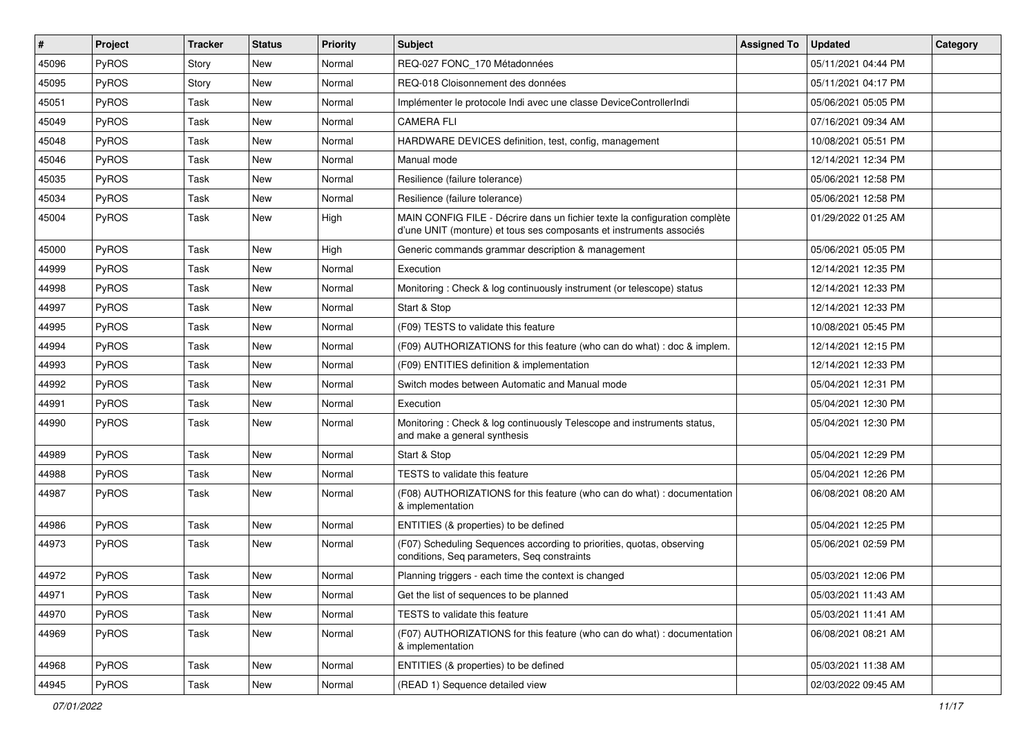| $\#$  | Project      | <b>Tracker</b> | <b>Status</b> | Priority | Subject                                                                                                                                           | <b>Assigned To</b> | <b>Updated</b>      | Category |
|-------|--------------|----------------|---------------|----------|---------------------------------------------------------------------------------------------------------------------------------------------------|--------------------|---------------------|----------|
| 45096 | PyROS        | Story          | <b>New</b>    | Normal   | REQ-027 FONC_170 Métadonnées                                                                                                                      |                    | 05/11/2021 04:44 PM |          |
| 45095 | PyROS        | Story          | <b>New</b>    | Normal   | REQ-018 Cloisonnement des données                                                                                                                 |                    | 05/11/2021 04:17 PM |          |
| 45051 | PyROS        | Task           | New           | Normal   | Implémenter le protocole Indi avec une classe DeviceControllerIndi                                                                                |                    | 05/06/2021 05:05 PM |          |
| 45049 | PyROS        | Task           | <b>New</b>    | Normal   | <b>CAMERA FLI</b>                                                                                                                                 |                    | 07/16/2021 09:34 AM |          |
| 45048 | PyROS        | Task           | <b>New</b>    | Normal   | HARDWARE DEVICES definition, test, config, management                                                                                             |                    | 10/08/2021 05:51 PM |          |
| 45046 | PyROS        | Task           | <b>New</b>    | Normal   | Manual mode                                                                                                                                       |                    | 12/14/2021 12:34 PM |          |
| 45035 | PyROS        | Task           | <b>New</b>    | Normal   | Resilience (failure tolerance)                                                                                                                    |                    | 05/06/2021 12:58 PM |          |
| 45034 | PyROS        | Task           | New           | Normal   | Resilience (failure tolerance)                                                                                                                    |                    | 05/06/2021 12:58 PM |          |
| 45004 | PyROS        | Task           | New           | High     | MAIN CONFIG FILE - Décrire dans un fichier texte la configuration complète<br>d'une UNIT (monture) et tous ses composants et instruments associés |                    | 01/29/2022 01:25 AM |          |
| 45000 | PyROS        | Task           | <b>New</b>    | High     | Generic commands grammar description & management                                                                                                 |                    | 05/06/2021 05:05 PM |          |
| 44999 | PyROS        | Task           | <b>New</b>    | Normal   | Execution                                                                                                                                         |                    | 12/14/2021 12:35 PM |          |
| 44998 | PyROS        | Task           | New           | Normal   | Monitoring: Check & log continuously instrument (or telescope) status                                                                             |                    | 12/14/2021 12:33 PM |          |
| 44997 | PyROS        | Task           | New           | Normal   | Start & Stop                                                                                                                                      |                    | 12/14/2021 12:33 PM |          |
| 44995 | PyROS        | Task           | <b>New</b>    | Normal   | (F09) TESTS to validate this feature                                                                                                              |                    | 10/08/2021 05:45 PM |          |
| 44994 | PyROS        | Task           | New           | Normal   | (F09) AUTHORIZATIONS for this feature (who can do what) : doc & implem.                                                                           |                    | 12/14/2021 12:15 PM |          |
| 44993 | PyROS        | Task           | <b>New</b>    | Normal   | (F09) ENTITIES definition & implementation                                                                                                        |                    | 12/14/2021 12:33 PM |          |
| 44992 | PyROS        | Task           | <b>New</b>    | Normal   | Switch modes between Automatic and Manual mode                                                                                                    |                    | 05/04/2021 12:31 PM |          |
| 44991 | PyROS        | Task           | <b>New</b>    | Normal   | Execution                                                                                                                                         |                    | 05/04/2021 12:30 PM |          |
| 44990 | PyROS        | Task           | New           | Normal   | Monitoring: Check & log continuously Telescope and instruments status,<br>and make a general synthesis                                            |                    | 05/04/2021 12:30 PM |          |
| 44989 | PyROS        | Task           | <b>New</b>    | Normal   | Start & Stop                                                                                                                                      |                    | 05/04/2021 12:29 PM |          |
| 44988 | PyROS        | Task           | <b>New</b>    | Normal   | TESTS to validate this feature                                                                                                                    |                    | 05/04/2021 12:26 PM |          |
| 44987 | <b>PyROS</b> | Task           | <b>New</b>    | Normal   | (F08) AUTHORIZATIONS for this feature (who can do what) : documentation<br>& implementation                                                       |                    | 06/08/2021 08:20 AM |          |
| 44986 | PyROS        | Task           | <b>New</b>    | Normal   | ENTITIES (& properties) to be defined                                                                                                             |                    | 05/04/2021 12:25 PM |          |
| 44973 | PyROS        | Task           | New           | Normal   | (F07) Scheduling Sequences according to priorities, quotas, observing<br>conditions, Seq parameters, Seq constraints                              |                    | 05/06/2021 02:59 PM |          |
| 44972 | PyROS        | Task           | <b>New</b>    | Normal   | Planning triggers - each time the context is changed                                                                                              |                    | 05/03/2021 12:06 PM |          |
| 44971 | PyROS        | Task           | New           | Normal   | Get the list of sequences to be planned                                                                                                           |                    | 05/03/2021 11:43 AM |          |
| 44970 | PyROS        | Task           | New           | Normal   | TESTS to validate this feature                                                                                                                    |                    | 05/03/2021 11:41 AM |          |
| 44969 | PyROS        | Task           | New           | Normal   | (F07) AUTHORIZATIONS for this feature (who can do what) : documentation<br>& implementation                                                       |                    | 06/08/2021 08:21 AM |          |
| 44968 | PyROS        | Task           | New           | Normal   | ENTITIES (& properties) to be defined                                                                                                             |                    | 05/03/2021 11:38 AM |          |
| 44945 | PyROS        | Task           | New           | Normal   | (READ 1) Sequence detailed view                                                                                                                   |                    | 02/03/2022 09:45 AM |          |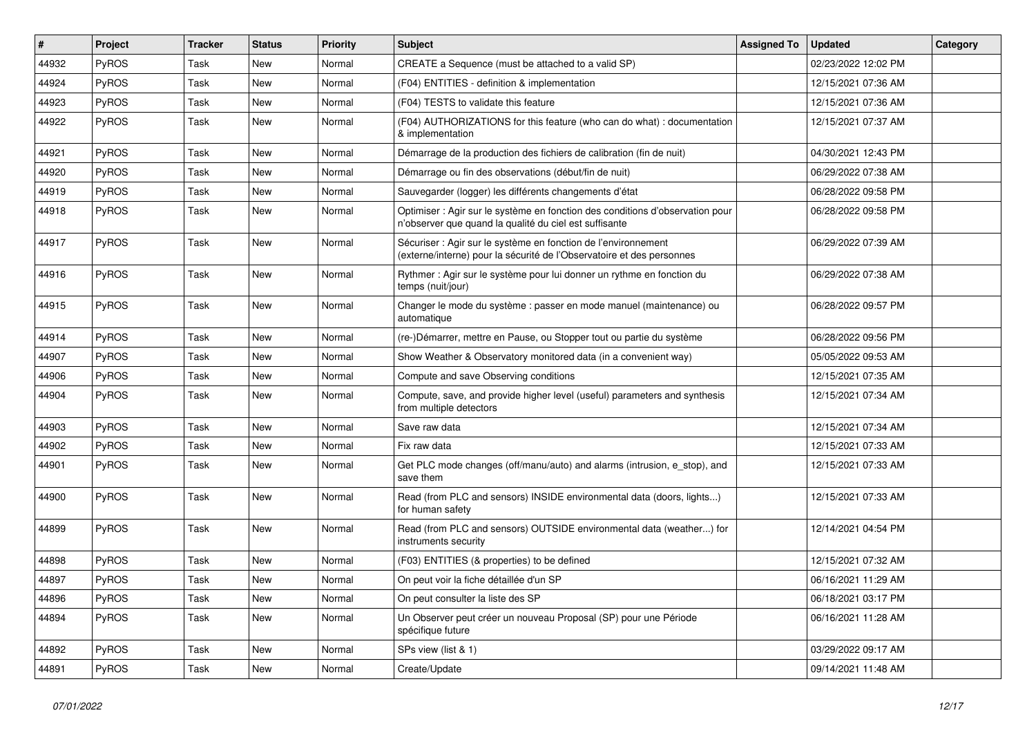| #     | Project | <b>Tracker</b> | <b>Status</b> | <b>Priority</b> | Subject                                                                                                                                 | <b>Assigned To</b> | <b>Updated</b>      | Category |
|-------|---------|----------------|---------------|-----------------|-----------------------------------------------------------------------------------------------------------------------------------------|--------------------|---------------------|----------|
| 44932 | PyROS   | Task           | New           | Normal          | CREATE a Sequence (must be attached to a valid SP)                                                                                      |                    | 02/23/2022 12:02 PM |          |
| 44924 | PyROS   | Task           | New           | Normal          | (F04) ENTITIES - definition & implementation                                                                                            |                    | 12/15/2021 07:36 AM |          |
| 44923 | PyROS   | Task           | New           | Normal          | (F04) TESTS to validate this feature                                                                                                    |                    | 12/15/2021 07:36 AM |          |
| 44922 | PyROS   | Task           | New           | Normal          | (F04) AUTHORIZATIONS for this feature (who can do what) : documentation<br>& implementation                                             |                    | 12/15/2021 07:37 AM |          |
| 44921 | PyROS   | Task           | New           | Normal          | Démarrage de la production des fichiers de calibration (fin de nuit)                                                                    |                    | 04/30/2021 12:43 PM |          |
| 44920 | PyROS   | Task           | New           | Normal          | Démarrage ou fin des observations (début/fin de nuit)                                                                                   |                    | 06/29/2022 07:38 AM |          |
| 44919 | PyROS   | Task           | New           | Normal          | Sauvegarder (logger) les différents changements d'état                                                                                  |                    | 06/28/2022 09:58 PM |          |
| 44918 | PyROS   | Task           | New           | Normal          | Optimiser : Agir sur le système en fonction des conditions d'observation pour<br>n'observer que quand la qualité du ciel est suffisante |                    | 06/28/2022 09:58 PM |          |
| 44917 | PyROS   | Task           | <b>New</b>    | Normal          | Sécuriser : Agir sur le système en fonction de l'environnement<br>(externe/interne) pour la sécurité de l'Observatoire et des personnes |                    | 06/29/2022 07:39 AM |          |
| 44916 | PyROS   | Task           | <b>New</b>    | Normal          | Rythmer : Agir sur le système pour lui donner un rythme en fonction du<br>temps (nuit/jour)                                             |                    | 06/29/2022 07:38 AM |          |
| 44915 | PyROS   | Task           | New           | Normal          | Changer le mode du système : passer en mode manuel (maintenance) ou<br>automatique                                                      |                    | 06/28/2022 09:57 PM |          |
| 44914 | PyROS   | Task           | <b>New</b>    | Normal          | (re-)Démarrer, mettre en Pause, ou Stopper tout ou partie du système                                                                    |                    | 06/28/2022 09:56 PM |          |
| 44907 | PyROS   | Task           | New           | Normal          | Show Weather & Observatory monitored data (in a convenient way)                                                                         |                    | 05/05/2022 09:53 AM |          |
| 44906 | PyROS   | Task           | New           | Normal          | Compute and save Observing conditions                                                                                                   |                    | 12/15/2021 07:35 AM |          |
| 44904 | PyROS   | Task           | New           | Normal          | Compute, save, and provide higher level (useful) parameters and synthesis<br>from multiple detectors                                    |                    | 12/15/2021 07:34 AM |          |
| 44903 | PyROS   | Task           | New           | Normal          | Save raw data                                                                                                                           |                    | 12/15/2021 07:34 AM |          |
| 44902 | PyROS   | Task           | <b>New</b>    | Normal          | Fix raw data                                                                                                                            |                    | 12/15/2021 07:33 AM |          |
| 44901 | PyROS   | Task           | New           | Normal          | Get PLC mode changes (off/manu/auto) and alarms (intrusion, e_stop), and<br>save them                                                   |                    | 12/15/2021 07:33 AM |          |
| 44900 | PyROS   | Task           | <b>New</b>    | Normal          | Read (from PLC and sensors) INSIDE environmental data (doors, lights)<br>for human safety                                               |                    | 12/15/2021 07:33 AM |          |
| 44899 | PyROS   | Task           | <b>New</b>    | Normal          | Read (from PLC and sensors) OUTSIDE environmental data (weather) for<br>instruments security                                            |                    | 12/14/2021 04:54 PM |          |
| 44898 | PyROS   | Task           | New           | Normal          | (F03) ENTITIES (& properties) to be defined                                                                                             |                    | 12/15/2021 07:32 AM |          |
| 44897 | PyROS   | Task           | New           | Normal          | On peut voir la fiche détaillée d'un SP                                                                                                 |                    | 06/16/2021 11:29 AM |          |
| 44896 | PyROS   | Task           | New           | Normal          | On peut consulter la liste des SP                                                                                                       |                    | 06/18/2021 03:17 PM |          |
| 44894 | PyROS   | Task           | New           | Normal          | Un Observer peut créer un nouveau Proposal (SP) pour une Période<br>spécifique future                                                   |                    | 06/16/2021 11:28 AM |          |
| 44892 | PyROS   | Task           | New           | Normal          | SPs view (list & 1)                                                                                                                     |                    | 03/29/2022 09:17 AM |          |
| 44891 | PyROS   | Task           | New           | Normal          | Create/Update                                                                                                                           |                    | 09/14/2021 11:48 AM |          |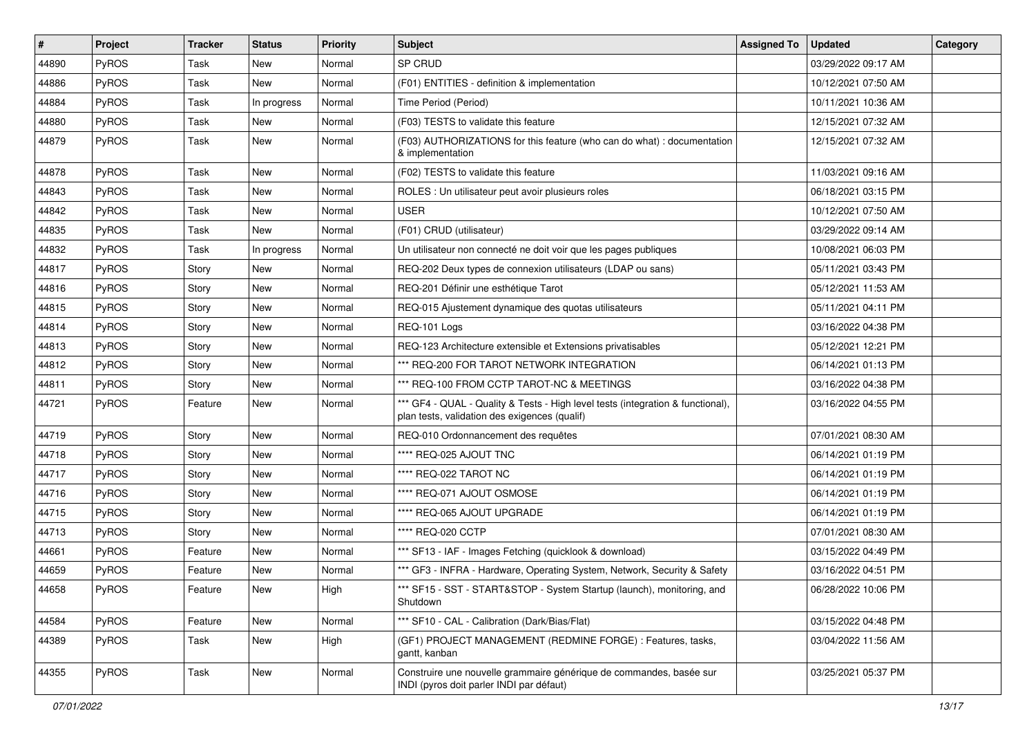| $\vert$ # | <b>Project</b> | <b>Tracker</b> | <b>Status</b> | <b>Priority</b> | <b>Subject</b>                                                                                                                   | <b>Assigned To</b> | <b>Updated</b>      | Category |
|-----------|----------------|----------------|---------------|-----------------|----------------------------------------------------------------------------------------------------------------------------------|--------------------|---------------------|----------|
| 44890     | PyROS          | Task           | New           | Normal          | SP CRUD                                                                                                                          |                    | 03/29/2022 09:17 AM |          |
| 44886     | PyROS          | Task           | New           | Normal          | (F01) ENTITIES - definition & implementation                                                                                     |                    | 10/12/2021 07:50 AM |          |
| 44884     | PyROS          | Task           | In progress   | Normal          | Time Period (Period)                                                                                                             |                    | 10/11/2021 10:36 AM |          |
| 44880     | PyROS          | Task           | New           | Normal          | (F03) TESTS to validate this feature                                                                                             |                    | 12/15/2021 07:32 AM |          |
| 44879     | PyROS          | Task           | New           | Normal          | (F03) AUTHORIZATIONS for this feature (who can do what) : documentation<br>& implementation                                      |                    | 12/15/2021 07:32 AM |          |
| 44878     | PyROS          | Task           | New           | Normal          | (F02) TESTS to validate this feature                                                                                             |                    | 11/03/2021 09:16 AM |          |
| 44843     | PyROS          | Task           | New           | Normal          | ROLES : Un utilisateur peut avoir plusieurs roles                                                                                |                    | 06/18/2021 03:15 PM |          |
| 44842     | PyROS          | Task           | New           | Normal          | <b>USER</b>                                                                                                                      |                    | 10/12/2021 07:50 AM |          |
| 44835     | PyROS          | Task           | New           | Normal          | (F01) CRUD (utilisateur)                                                                                                         |                    | 03/29/2022 09:14 AM |          |
| 44832     | PyROS          | Task           | In progress   | Normal          | Un utilisateur non connecté ne doit voir que les pages publiques                                                                 |                    | 10/08/2021 06:03 PM |          |
| 44817     | PyROS          | Story          | New           | Normal          | REQ-202 Deux types de connexion utilisateurs (LDAP ou sans)                                                                      |                    | 05/11/2021 03:43 PM |          |
| 44816     | PyROS          | Story          | New           | Normal          | REQ-201 Définir une esthétique Tarot                                                                                             |                    | 05/12/2021 11:53 AM |          |
| 44815     | PyROS          | Story          | New           | Normal          | REQ-015 Ajustement dynamique des quotas utilisateurs                                                                             |                    | 05/11/2021 04:11 PM |          |
| 44814     | PyROS          | Story          | New           | Normal          | REQ-101 Logs                                                                                                                     |                    | 03/16/2022 04:38 PM |          |
| 44813     | PyROS          | Story          | New           | Normal          | REQ-123 Architecture extensible et Extensions privatisables                                                                      |                    | 05/12/2021 12:21 PM |          |
| 44812     | PyROS          | Story          | New           | Normal          | *** REQ-200 FOR TAROT NETWORK INTEGRATION                                                                                        |                    | 06/14/2021 01:13 PM |          |
| 44811     | PyROS          | Story          | New           | Normal          | *** REQ-100 FROM CCTP TAROT-NC & MEETINGS                                                                                        |                    | 03/16/2022 04:38 PM |          |
| 44721     | PyROS          | Feature        | New           | Normal          | *** GF4 - QUAL - Quality & Tests - High level tests (integration & functional),<br>plan tests, validation des exigences (qualif) |                    | 03/16/2022 04:55 PM |          |
| 44719     | PyROS          | Story          | New           | Normal          | REQ-010 Ordonnancement des requêtes                                                                                              |                    | 07/01/2021 08:30 AM |          |
| 44718     | PyROS          | Story          | New           | Normal          | **** REQ-025 AJOUT TNC                                                                                                           |                    | 06/14/2021 01:19 PM |          |
| 44717     | PyROS          | Story          | New           | Normal          | **** REQ-022 TAROT NC                                                                                                            |                    | 06/14/2021 01:19 PM |          |
| 44716     | PyROS          | Story          | New           | Normal          | **** REQ-071 AJOUT OSMOSE                                                                                                        |                    | 06/14/2021 01:19 PM |          |
| 44715     | PyROS          | Story          | New           | Normal          | **** REQ-065 AJOUT UPGRADE                                                                                                       |                    | 06/14/2021 01:19 PM |          |
| 44713     | PyROS          | Story          | New           | Normal          | **** REQ-020 CCTP                                                                                                                |                    | 07/01/2021 08:30 AM |          |
| 44661     | PyROS          | Feature        | New           | Normal          | *** SF13 - IAF - Images Fetching (quicklook & download)                                                                          |                    | 03/15/2022 04:49 PM |          |
| 44659     | PyROS          | Feature        | New           | Normal          | *** GF3 - INFRA - Hardware, Operating System, Network, Security & Safety                                                         |                    | 03/16/2022 04:51 PM |          |
| 44658     | <b>PyROS</b>   | Feature        | New           | High            | *** SF15 - SST - START&STOP - System Startup (launch), monitoring, and<br>Shutdown                                               |                    | 06/28/2022 10:06 PM |          |
| 44584     | PyROS          | Feature        | New           | Normal          | *** SF10 - CAL - Calibration (Dark/Bias/Flat)                                                                                    |                    | 03/15/2022 04:48 PM |          |
| 44389     | PyROS          | Task           | New           | High            | (GF1) PROJECT MANAGEMENT (REDMINE FORGE) : Features, tasks,<br>gantt, kanban                                                     |                    | 03/04/2022 11:56 AM |          |
| 44355     | PyROS          | Task           | New           | Normal          | Construire une nouvelle grammaire générique de commandes, basée sur<br>INDI (pyros doit parler INDI par défaut)                  |                    | 03/25/2021 05:37 PM |          |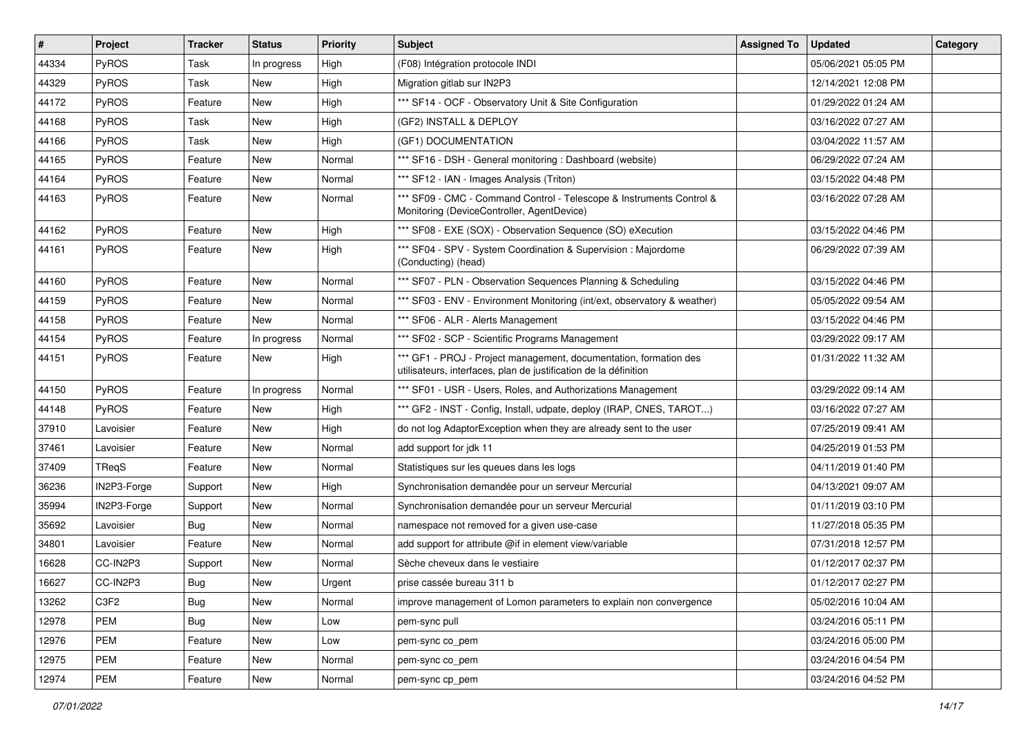| $\vert$ # | Project      | <b>Tracker</b> | <b>Status</b> | <b>Priority</b> | <b>Subject</b>                                                                                                                        | <b>Assigned To</b> | <b>Updated</b>      | Category |
|-----------|--------------|----------------|---------------|-----------------|---------------------------------------------------------------------------------------------------------------------------------------|--------------------|---------------------|----------|
| 44334     | PyROS        | Task           | In progress   | High            | (F08) Intégration protocole INDI                                                                                                      |                    | 05/06/2021 05:05 PM |          |
| 44329     | PyROS        | Task           | New           | High            | Migration gitlab sur IN2P3                                                                                                            |                    | 12/14/2021 12:08 PM |          |
| 44172     | <b>PyROS</b> | Feature        | New           | High            | *** SF14 - OCF - Observatory Unit & Site Configuration                                                                                |                    | 01/29/2022 01:24 AM |          |
| 44168     | PyROS        | Task           | New           | High            | (GF2) INSTALL & DEPLOY                                                                                                                |                    | 03/16/2022 07:27 AM |          |
| 44166     | PyROS        | Task           | New           | High            | (GF1) DOCUMENTATION                                                                                                                   |                    | 03/04/2022 11:57 AM |          |
| 44165     | PyROS        | Feature        | New           | Normal          | *** SF16 - DSH - General monitoring : Dashboard (website)                                                                             |                    | 06/29/2022 07:24 AM |          |
| 44164     | PyROS        | Feature        | <b>New</b>    | Normal          | *** SF12 - IAN - Images Analysis (Triton)                                                                                             |                    | 03/15/2022 04:48 PM |          |
| 44163     | <b>PyROS</b> | Feature        | New           | Normal          | *** SF09 - CMC - Command Control - Telescope & Instruments Control &<br>Monitoring (DeviceController, AgentDevice)                    |                    | 03/16/2022 07:28 AM |          |
| 44162     | PyROS        | Feature        | New           | High            | *** SF08 - EXE (SOX) - Observation Sequence (SO) eXecution                                                                            |                    | 03/15/2022 04:46 PM |          |
| 44161     | <b>PyROS</b> | Feature        | New           | High            | *** SF04 - SPV - System Coordination & Supervision : Majordome<br>(Conducting) (head)                                                 |                    | 06/29/2022 07:39 AM |          |
| 44160     | PyROS        | Feature        | New           | Normal          | *** SF07 - PLN - Observation Sequences Planning & Scheduling                                                                          |                    | 03/15/2022 04:46 PM |          |
| 44159     | PyROS        | Feature        | New           | Normal          | *** SF03 - ENV - Environment Monitoring (int/ext, observatory & weather)                                                              |                    | 05/05/2022 09:54 AM |          |
| 44158     | PyROS        | Feature        | <b>New</b>    | Normal          | *** SF06 - ALR - Alerts Management                                                                                                    |                    | 03/15/2022 04:46 PM |          |
| 44154     | PyROS        | Feature        | In progress   | Normal          | *** SF02 - SCP - Scientific Programs Management                                                                                       |                    | 03/29/2022 09:17 AM |          |
| 44151     | PyROS        | Feature        | New           | High            | *** GF1 - PROJ - Project management, documentation, formation des<br>utilisateurs, interfaces, plan de justification de la définition |                    | 01/31/2022 11:32 AM |          |
| 44150     | PyROS        | Feature        | In progress   | Normal          | *** SF01 - USR - Users, Roles, and Authorizations Management                                                                          |                    | 03/29/2022 09:14 AM |          |
| 44148     | PyROS        | Feature        | New           | High            | *** GF2 - INST - Config, Install, udpate, deploy (IRAP, CNES, TAROT)                                                                  |                    | 03/16/2022 07:27 AM |          |
| 37910     | Lavoisier    | Feature        | New           | High            | do not log AdaptorException when they are already sent to the user                                                                    |                    | 07/25/2019 09:41 AM |          |
| 37461     | Lavoisier    | Feature        | New           | Normal          | add support for jdk 11                                                                                                                |                    | 04/25/2019 01:53 PM |          |
| 37409     | TReqS        | Feature        | New           | Normal          | Statistiques sur les queues dans les logs                                                                                             |                    | 04/11/2019 01:40 PM |          |
| 36236     | IN2P3-Forge  | Support        | New           | High            | Synchronisation demandée pour un serveur Mercurial                                                                                    |                    | 04/13/2021 09:07 AM |          |
| 35994     | IN2P3-Forge  | Support        | New           | Normal          | Synchronisation demandée pour un serveur Mercurial                                                                                    |                    | 01/11/2019 03:10 PM |          |
| 35692     | Lavoisier    | Bug            | New           | Normal          | namespace not removed for a given use-case                                                                                            |                    | 11/27/2018 05:35 PM |          |
| 34801     | Lavoisier    | Feature        | New           | Normal          | add support for attribute @if in element view/variable                                                                                |                    | 07/31/2018 12:57 PM |          |
| 16628     | CC-IN2P3     | Support        | New           | Normal          | Sèche cheveux dans le vestiaire                                                                                                       |                    | 01/12/2017 02:37 PM |          |
| 16627     | CC-IN2P3     | Bug            | New           | Urgent          | prise cassée bureau 311 b                                                                                                             |                    | 01/12/2017 02:27 PM |          |
| 13262     | C3F2         | Bug            | New           | Normal          | improve management of Lomon parameters to explain non convergence                                                                     |                    | 05/02/2016 10:04 AM |          |
| 12978     | PEM          | <b>Bug</b>     | New           | Low             | pem-sync pull                                                                                                                         |                    | 03/24/2016 05:11 PM |          |
| 12976     | PEM          | Feature        | New           | Low             | pem-sync co_pem                                                                                                                       |                    | 03/24/2016 05:00 PM |          |
| 12975     | <b>PEM</b>   | Feature        | New           | Normal          | pem-sync co_pem                                                                                                                       |                    | 03/24/2016 04:54 PM |          |
| 12974     | <b>PEM</b>   | Feature        | New           | Normal          | pem-sync cp_pem                                                                                                                       |                    | 03/24/2016 04:52 PM |          |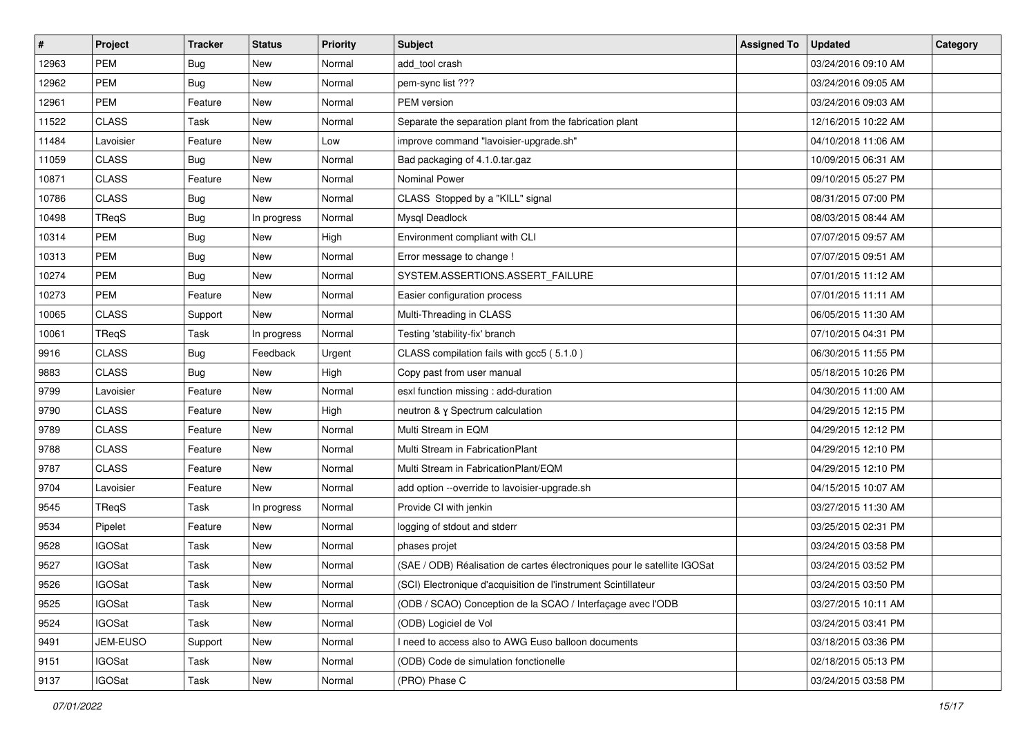| $\vert$ # | Project       | <b>Tracker</b> | <b>Status</b> | <b>Priority</b> | Subject                                                                  | <b>Assigned To</b> | <b>Updated</b>      | Category |
|-----------|---------------|----------------|---------------|-----------------|--------------------------------------------------------------------------|--------------------|---------------------|----------|
| 12963     | <b>PEM</b>    | Bug            | New           | Normal          | add tool crash                                                           |                    | 03/24/2016 09:10 AM |          |
| 12962     | <b>PEM</b>    | <b>Bug</b>     | New           | Normal          | pem-sync list ???                                                        |                    | 03/24/2016 09:05 AM |          |
| 12961     | PEM           | Feature        | New           | Normal          | PEM version                                                              |                    | 03/24/2016 09:03 AM |          |
| 11522     | <b>CLASS</b>  | Task           | New           | Normal          | Separate the separation plant from the fabrication plant                 |                    | 12/16/2015 10:22 AM |          |
| 11484     | Lavoisier     | Feature        | New           | Low             | improve command "lavoisier-upgrade.sh"                                   |                    | 04/10/2018 11:06 AM |          |
| 11059     | <b>CLASS</b>  | Bug            | New           | Normal          | Bad packaging of 4.1.0.tar.gaz                                           |                    | 10/09/2015 06:31 AM |          |
| 10871     | <b>CLASS</b>  | Feature        | New           | Normal          | <b>Nominal Power</b>                                                     |                    | 09/10/2015 05:27 PM |          |
| 10786     | <b>CLASS</b>  | Bug            | New           | Normal          | CLASS Stopped by a "KILL" signal                                         |                    | 08/31/2015 07:00 PM |          |
| 10498     | TReqS         | Bug            | In progress   | Normal          | Mysql Deadlock                                                           |                    | 08/03/2015 08:44 AM |          |
| 10314     | <b>PEM</b>    | <b>Bug</b>     | New           | High            | Environment compliant with CLI                                           |                    | 07/07/2015 09:57 AM |          |
| 10313     | <b>PEM</b>    | <b>Bug</b>     | New           | Normal          | Error message to change !                                                |                    | 07/07/2015 09:51 AM |          |
| 10274     | <b>PEM</b>    | Bug            | New           | Normal          | SYSTEM.ASSERTIONS.ASSERT FAILURE                                         |                    | 07/01/2015 11:12 AM |          |
| 10273     | PEM           | Feature        | New           | Normal          | Easier configuration process                                             |                    | 07/01/2015 11:11 AM |          |
| 10065     | <b>CLASS</b>  | Support        | New           | Normal          | Multi-Threading in CLASS                                                 |                    | 06/05/2015 11:30 AM |          |
| 10061     | TReqS         | Task           | In progress   | Normal          | Testing 'stability-fix' branch                                           |                    | 07/10/2015 04:31 PM |          |
| 9916      | <b>CLASS</b>  | Bug            | Feedback      | Urgent          | CLASS compilation fails with gcc5 (5.1.0)                                |                    | 06/30/2015 11:55 PM |          |
| 9883      | <b>CLASS</b>  | Bug            | New           | High            | Copy past from user manual                                               |                    | 05/18/2015 10:26 PM |          |
| 9799      | Lavoisier     | Feature        | New           | Normal          | esxl function missing : add-duration                                     |                    | 04/30/2015 11:00 AM |          |
| 9790      | <b>CLASS</b>  | Feature        | New           | High            | neutron & γ Spectrum calculation                                         |                    | 04/29/2015 12:15 PM |          |
| 9789      | <b>CLASS</b>  | Feature        | New           | Normal          | Multi Stream in EQM                                                      |                    | 04/29/2015 12:12 PM |          |
| 9788      | <b>CLASS</b>  | Feature        | New           | Normal          | Multi Stream in FabricationPlant                                         |                    | 04/29/2015 12:10 PM |          |
| 9787      | <b>CLASS</b>  | Feature        | New           | Normal          | Multi Stream in FabricationPlant/EQM                                     |                    | 04/29/2015 12:10 PM |          |
| 9704      | Lavoisier     | Feature        | <b>New</b>    | Normal          | add option --override to lavoisier-upgrade.sh                            |                    | 04/15/2015 10:07 AM |          |
| 9545      | TReqS         | Task           | In progress   | Normal          | Provide CI with jenkin                                                   |                    | 03/27/2015 11:30 AM |          |
| 9534      | Pipelet       | Feature        | New           | Normal          | logging of stdout and stderr                                             |                    | 03/25/2015 02:31 PM |          |
| 9528      | <b>IGOSat</b> | Task           | New           | Normal          | phases projet                                                            |                    | 03/24/2015 03:58 PM |          |
| 9527      | <b>IGOSat</b> | Task           | New           | Normal          | (SAE / ODB) Réalisation de cartes électroniques pour le satellite IGOSat |                    | 03/24/2015 03:52 PM |          |
| 9526      | <b>IGOSat</b> | Task           | New           | Normal          | (SCI) Electronique d'acquisition de l'instrument Scintillateur           |                    | 03/24/2015 03:50 PM |          |
| 9525      | <b>IGOSat</b> | Task           | New           | Normal          | (ODB / SCAO) Conception de la SCAO / Interfaçage avec l'ODB              |                    | 03/27/2015 10:11 AM |          |
| 9524      | <b>IGOSat</b> | Task           | New           | Normal          | (ODB) Logiciel de Vol                                                    |                    | 03/24/2015 03:41 PM |          |
| 9491      | JEM-EUSO      | Support        | New           | Normal          | I need to access also to AWG Euso balloon documents                      |                    | 03/18/2015 03:36 PM |          |
| 9151      | <b>IGOSat</b> | Task           | New           | Normal          | (ODB) Code de simulation fonctionelle                                    |                    | 02/18/2015 05:13 PM |          |
| 9137      | <b>IGOSat</b> | Task           | New           | Normal          | (PRO) Phase C                                                            |                    | 03/24/2015 03:58 PM |          |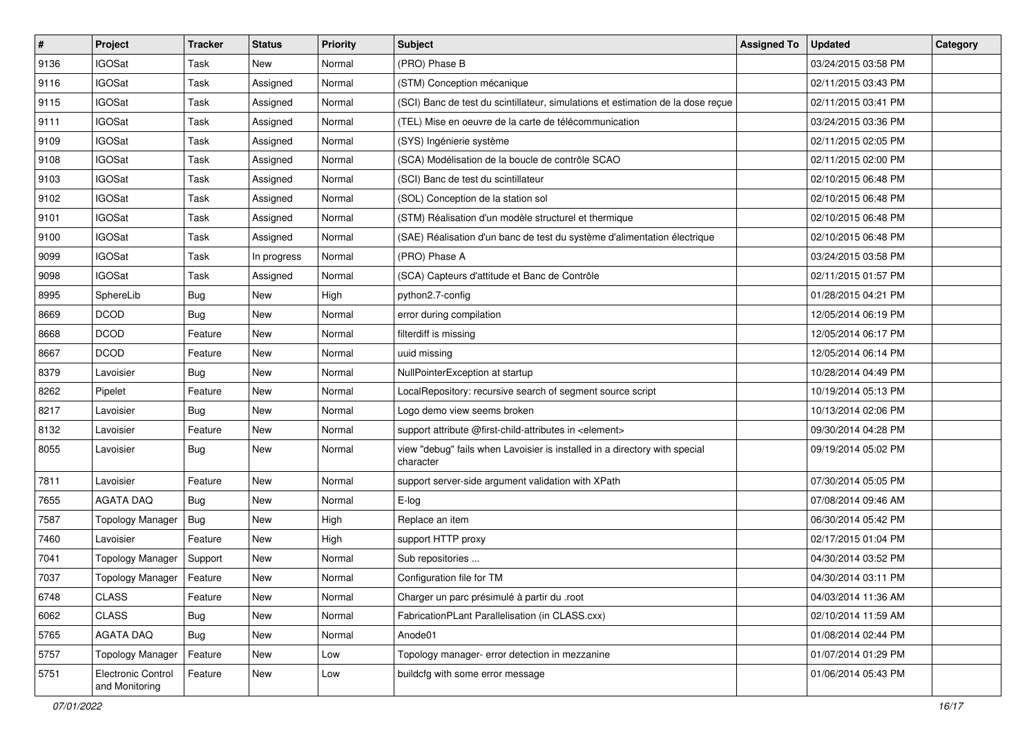| $\vert$ # | Project                              | <b>Tracker</b> | <b>Status</b> | <b>Priority</b> | <b>Subject</b>                                                                          | <b>Assigned To</b> | <b>Updated</b>      | Category |
|-----------|--------------------------------------|----------------|---------------|-----------------|-----------------------------------------------------------------------------------------|--------------------|---------------------|----------|
| 9136      | <b>IGOSat</b>                        | Task           | New           | Normal          | (PRO) Phase B                                                                           |                    | 03/24/2015 03:58 PM |          |
| 9116      | <b>IGOSat</b>                        | Task           | Assigned      | Normal          | (STM) Conception mécanique                                                              |                    | 02/11/2015 03:43 PM |          |
| 9115      | <b>IGOSat</b>                        | Task           | Assigned      | Normal          | (SCI) Banc de test du scintillateur, simulations et estimation de la dose reçue         |                    | 02/11/2015 03:41 PM |          |
| 9111      | <b>IGOSat</b>                        | Task           | Assigned      | Normal          | (TEL) Mise en oeuvre de la carte de télécommunication                                   |                    | 03/24/2015 03:36 PM |          |
| 9109      | <b>IGOSat</b>                        | Task           | Assigned      | Normal          | (SYS) Ingénierie système                                                                |                    | 02/11/2015 02:05 PM |          |
| 9108      | <b>IGOSat</b>                        | Task           | Assigned      | Normal          | (SCA) Modélisation de la boucle de contrôle SCAO                                        |                    | 02/11/2015 02:00 PM |          |
| 9103      | <b>IGOSat</b>                        | Task           | Assigned      | Normal          | (SCI) Banc de test du scintillateur                                                     |                    | 02/10/2015 06:48 PM |          |
| 9102      | <b>IGOSat</b>                        | Task           | Assigned      | Normal          | (SOL) Conception de la station sol                                                      |                    | 02/10/2015 06:48 PM |          |
| 9101      | <b>IGOSat</b>                        | Task           | Assigned      | Normal          | (STM) Réalisation d'un modèle structurel et thermique                                   |                    | 02/10/2015 06:48 PM |          |
| 9100      | <b>IGOSat</b>                        | Task           | Assigned      | Normal          | (SAE) Réalisation d'un banc de test du système d'alimentation électrique                |                    | 02/10/2015 06:48 PM |          |
| 9099      | <b>IGOSat</b>                        | Task           | In progress   | Normal          | (PRO) Phase A                                                                           |                    | 03/24/2015 03:58 PM |          |
| 9098      | <b>IGOSat</b>                        | Task           | Assigned      | Normal          | (SCA) Capteurs d'attitude et Banc de Contrôle                                           |                    | 02/11/2015 01:57 PM |          |
| 8995      | SphereLib                            | Bug            | New           | High            | python2.7-config                                                                        |                    | 01/28/2015 04:21 PM |          |
| 8669      | <b>DCOD</b>                          | Bug            | New           | Normal          | error during compilation                                                                |                    | 12/05/2014 06:19 PM |          |
| 8668      | <b>DCOD</b>                          | Feature        | <b>New</b>    | Normal          | filterdiff is missing                                                                   |                    | 12/05/2014 06:17 PM |          |
| 8667      | <b>DCOD</b>                          | Feature        | New           | Normal          | uuid missing                                                                            |                    | 12/05/2014 06:14 PM |          |
| 8379      | Lavoisier                            | <b>Bug</b>     | <b>New</b>    | Normal          | NullPointerException at startup                                                         |                    | 10/28/2014 04:49 PM |          |
| 8262      | Pipelet                              | Feature        | <b>New</b>    | Normal          | LocalRepository: recursive search of segment source script                              |                    | 10/19/2014 05:13 PM |          |
| 8217      | Lavoisier                            | Bug            | New           | Normal          | Logo demo view seems broken                                                             |                    | 10/13/2014 02:06 PM |          |
| 8132      | Lavoisier                            | Feature        | <b>New</b>    | Normal          | support attribute @first-child-attributes in <element></element>                        |                    | 09/30/2014 04:28 PM |          |
| 8055      | Lavoisier                            | Bug            | New           | Normal          | view "debug" fails when Lavoisier is installed in a directory with special<br>character |                    | 09/19/2014 05:02 PM |          |
| 7811      | Lavoisier                            | Feature        | New           | Normal          | support server-side argument validation with XPath                                      |                    | 07/30/2014 05:05 PM |          |
| 7655      | <b>AGATA DAQ</b>                     | <b>Bug</b>     | New           | Normal          | E-log                                                                                   |                    | 07/08/2014 09:46 AM |          |
| 7587      | <b>Topology Manager</b>              | <b>Bug</b>     | New           | High            | Replace an item                                                                         |                    | 06/30/2014 05:42 PM |          |
| 7460      | Lavoisier                            | Feature        | New           | High            | support HTTP proxy                                                                      |                    | 02/17/2015 01:04 PM |          |
| 7041      | Topology Manager                     | Support        | New           | Normal          | Sub repositories                                                                        |                    | 04/30/2014 03:52 PM |          |
| 7037      | Topology Manager                     | Feature        | New           | Normal          | Configuration file for TM                                                               |                    | 04/30/2014 03:11 PM |          |
| 6748      | CLASS                                | Feature        | New           | Normal          | Charger un parc présimulé à partir du .root                                             |                    | 04/03/2014 11:36 AM |          |
| 6062      | <b>CLASS</b>                         | <b>Bug</b>     | New           | Normal          | FabricationPLant Parallelisation (in CLASS.cxx)                                         |                    | 02/10/2014 11:59 AM |          |
| 5765      | AGATA DAQ                            | Bug            | New           | Normal          | Anode01                                                                                 |                    | 01/08/2014 02:44 PM |          |
| 5757      | <b>Topology Manager</b>              | Feature        | New           | Low             | Topology manager- error detection in mezzanine                                          |                    | 01/07/2014 01:29 PM |          |
| 5751      | Electronic Control<br>and Monitoring | Feature        | New           | Low             | buildcfg with some error message                                                        |                    | 01/06/2014 05:43 PM |          |